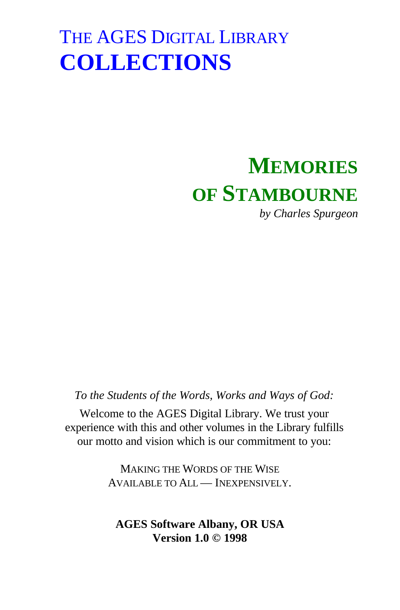## **MEMORIES OF STAMBOURNE**

*by Charles Spurgeon*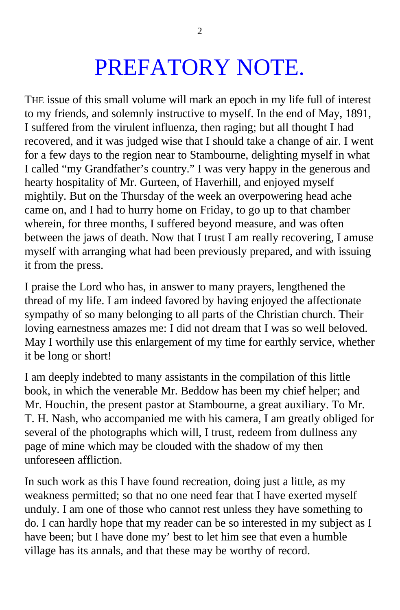## PREFATORY NOTE.

THE issue of this small volume will mark an epoch in my life full of interest to my friends, and solemnly instructive to myself. In the end of May, 1891, I suffered from the virulent influenza, then raging; but all thought I had recovered, and it was judged wise that I should take a change of air. I went for a few days to the region near to Stambourne, delighting myself in what I called "my Grandfather's country." I was very happy in the generous and hearty hospitality of Mr. Gurteen, of Haverhill, and enjoyed myself mightily. But on the Thursday of the week an overpowering head ache came on, and I had to hurry home on Friday, to go up to that chamber wherein, for three months, I suffered beyond measure, and was often between the jaws of death. Now that I trust I am really recovering, I amuse myself with arranging what had been previously prepared, and with issuing it from the press.

I praise the Lord who has, in answer to many prayers, lengthened the thread of my life. I am indeed favored by having enjoyed the affectionate sympathy of so many belonging to all parts of the Christian church. Their loving earnestness amazes me: I did not dream that I was so well beloved. May I worthily use this enlargement of my time for earthly service, whether it be long or short!

I am deeply indebted to many assistants in the compilation of this little book, in which the venerable Mr. Beddow has been my chief helper; and Mr. Houchin, the present pastor at Stambourne, a great auxiliary. To Mr. T. H. Nash, who accompanied me with his camera, I am greatly obliged for several of the photographs which will, I trust, redeem from dullness any page of mine which may be clouded with the shadow of my then unforeseen affliction.

In such work as this I have found recreation, doing just a little, as my weakness permitted; so that no one need fear that I have exerted myself unduly. I am one of those who cannot rest unless they have something to do. I can hardly hope that my reader can be so interested in my subject as I have been; but I have done my' best to let him see that even a humble village has its annals, and that these may be worthy of record.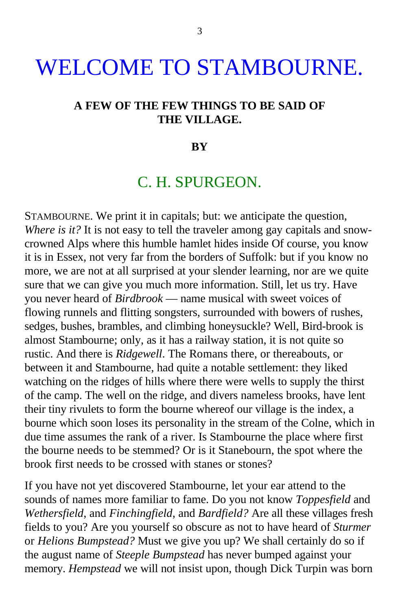## WELCOME TO STAMBOURNE.

#### **A FEW OF THE FEW THINGS TO BE SAID OF THE VILLAGE.**

#### **BY**

### C. H. SPURGEON.

STAMBOURNE. We print it in capitals; but: we anticipate the question, *Where is it?* It is not easy to tell the traveler among gay capitals and snowcrowned Alps where this humble hamlet hides inside Of course, you know it is in Essex, not very far from the borders of Suffolk: but if you know no more, we are not at all surprised at your slender learning, nor are we quite sure that we can give you much more information. Still, let us try. Have you never heard of *Birdbrook* — name musical with sweet voices of flowing runnels and flitting songsters, surrounded with bowers of rushes, sedges, bushes, brambles, and climbing honeysuckle? Well, Bird-brook is almost Stambourne; only, as it has a railway station, it is not quite so rustic. And there is *Ridgewell*. The Romans there, or thereabouts, or between it and Stambourne, had quite a notable settlement: they liked watching on the ridges of hills where there were wells to supply the thirst of the camp. The well on the ridge, and divers nameless brooks, have lent their tiny rivulets to form the bourne whereof our village is the index, a bourne which soon loses its personality in the stream of the Colne, which in due time assumes the rank of a river. Is Stambourne the place where first the bourne needs to be stemmed? Or is it Stanebourn, the spot where the brook first needs to be crossed with stanes or stones?

If you have not yet discovered Stambourne, let your ear attend to the sounds of names more familiar to fame. Do you not know *Toppesfield* and *Wethersfield*, and *Finchingfield*, and *Bardfield?* Are all these villages fresh fields to you? Are you yourself so obscure as not to have heard of *Sturmer* or *Helions Bumpstead?* Must we give you up? We shall certainly do so if the august name of *Steeple Bumpstead* has never bumped against your memory. *Hempstead* we will not insist upon, though Dick Turpin was born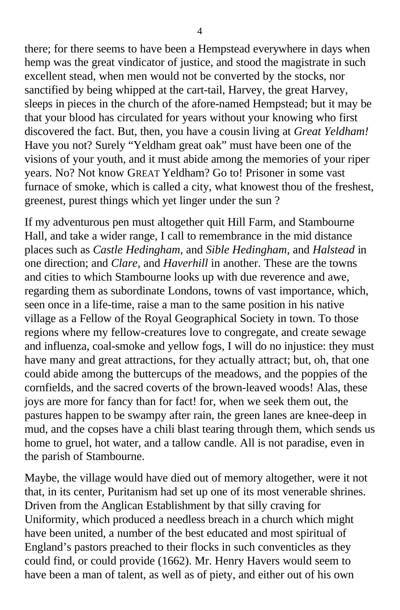there; for there seems to have been a Hempstead everywhere in days when hemp was the great vindicator of justice, and stood the magistrate in such excellent stead, when men would not be converted by the stocks, nor sanctified by being whipped at the cart-tail, Harvey, the great Harvey, sleeps in pieces in the church of the afore-named Hempstead; but it may be that your blood has circulated for years without your knowing who first discovered the fact. But, then, you have a cousin living at *Great Yeldham!* Have you not? Surely "Yeldham great oak" must have been one of the visions of your youth, and it must abide among the memories of your riper years. No? Not know GREAT Yeldham? Go to! Prisoner in some vast furnace of smoke, which is called a city, what knowest thou of the freshest, greenest, purest things which yet linger under the sun ?

If my adventurous pen must altogether quit Hill Farm, and Stambourne Hall, and take a wider range, I call to remembrance in the mid distance places such as *Castle Hedingham*, and *Sible Hedingham*, and *Halstead* in one direction; and *Clare*, and *Haverhill* in another. These are the towns and cities to which Stambourne looks up with due reverence and awe, regarding them as subordinate Londons, towns of vast importance, which, seen once in a life-time, raise a man to the same position in his native village as a Fellow of the Royal Geographical Society in town. To those regions where my fellow-creatures love to congregate, and create sewage and influenza, coal-smoke and yellow fogs, I will do no injustice: they must have many and great attractions, for they actually attract; but, oh, that one could abide among the buttercups of the meadows, and the poppies of the cornfields, and the sacred coverts of the brown-leaved woods! Alas, these joys are more for fancy than for fact! for, when we seek them out, the pastures happen to be swampy after rain, the green lanes are knee-deep in mud, and the copses have a chili blast tearing through them, which sends us home to gruel, hot water, and a tallow candle. All is not paradise, even in the parish of Stambourne.

Maybe, the village would have died out of memory altogether, were it not that, in its center, Puritanism had set up one of its most venerable shrines. Driven from the Anglican Establishment by that silly craving for Uniformity, which produced a needless breach in a church which might have been united, a number of the best educated and most spiritual of England's pastors preached to their flocks in such conventicles as they could find, or could provide (1662). Mr. Henry Havers would seem to have been a man of talent, as well as of piety, and either out of his own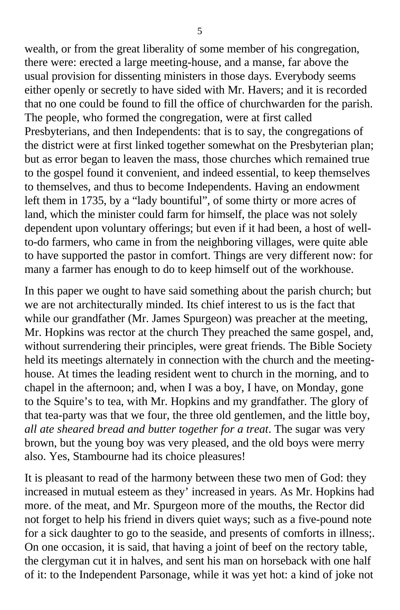wealth, or from the great liberality of some member of his congregation, there were: erected a large meeting-house, and a manse, far above the usual provision for dissenting ministers in those days. Everybody seems either openly or secretly to have sided with Mr. Havers; and it is recorded that no one could be found to fill the office of churchwarden for the parish. The people, who formed the congregation, were at first called Presbyterians, and then Independents: that is to say, the congregations of the district were at first linked together somewhat on the Presbyterian plan; but as error began to leaven the mass, those churches which remained true to the gospel found it convenient, and indeed essential, to keep themselves to themselves, and thus to become Independents. Having an endowment left them in 1735, by a "lady bountiful", of some thirty or more acres of land, which the minister could farm for himself, the place was not solely dependent upon voluntary offerings; but even if it had been, a host of wellto-do farmers, who came in from the neighboring villages, were quite able to have supported the pastor in comfort. Things are very different now: for many a farmer has enough to do to keep himself out of the workhouse.

In this paper we ought to have said something about the parish church; but we are not architecturally minded. Its chief interest to us is the fact that while our grandfather (Mr. James Spurgeon) was preacher at the meeting, Mr. Hopkins was rector at the church They preached the same gospel, and, without surrendering their principles, were great friends. The Bible Society held its meetings alternately in connection with the church and the meetinghouse. At times the leading resident went to church in the morning, and to chapel in the afternoon; and, when I was a boy, I have, on Monday, gone to the Squire's to tea, with Mr. Hopkins and my grandfather. The glory of that tea-party was that we four, the three old gentlemen, and the little boy, *all ate sheared bread and butter together for a treat*. The sugar was very brown, but the young boy was very pleased, and the old boys were merry also. Yes, Stambourne had its choice pleasures!

It is pleasant to read of the harmony between these two men of God: they increased in mutual esteem as they' increased in years. As Mr. Hopkins had more. of the meat, and Mr. Spurgeon more of the mouths, the Rector did not forget to help his friend in divers quiet ways; such as a five-pound note for a sick daughter to go to the seaside, and presents of comforts in illness;. On one occasion, it is said, that having a joint of beef on the rectory table, the clergyman cut it in halves, and sent his man on horseback with one half of it: to the Independent Parsonage, while it was yet hot: a kind of joke not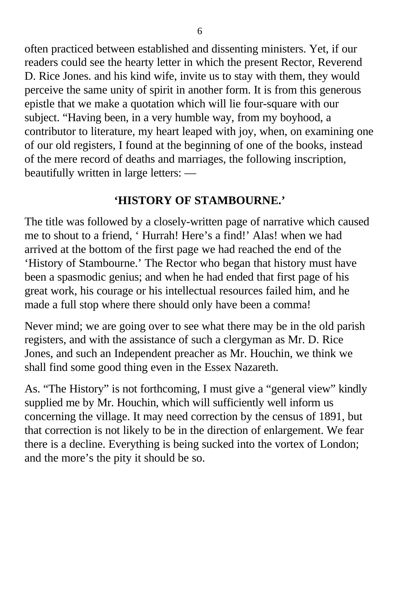often practiced between established and dissenting ministers. Yet, if our readers could see the hearty letter in which the present Rector, Reverend D. Rice Jones. and his kind wife, invite us to stay with them, they would perceive the same unity of spirit in another form. It is from this generous epistle that we make a quotation which will lie four-square with our subject. "Having been, in a very humble way, from my boyhood, a contributor to literature, my heart leaped with joy, when, on examining one of our old registers, I found at the beginning of one of the books, instead of the mere record of deaths and marriages, the following inscription, beautifully written in large letters: —

### **'HISTORY OF STAMBOURNE.'**

The title was followed by a closely-written page of narrative which caused me to shout to a friend, ' Hurrah! Here's a find!' Alas! when we had arrived at the bottom of the first page we had reached the end of the 'History of Stambourne.' The Rector who began that history must have been a spasmodic genius; and when he had ended that first page of his great work, his courage or his intellectual resources failed him, and he made a full stop where there should only have been a comma!

Never mind; we are going over to see what there may be in the old parish registers, and with the assistance of such a clergyman as Mr. D. Rice Jones, and such an Independent preacher as Mr. Houchin, we think we shall find some good thing even in the Essex Nazareth.

As. "The History" is not forthcoming, I must give a "general view" kindly supplied me by Mr. Houchin, which will sufficiently well inform us concerning the village. It may need correction by the census of 1891, but that correction is not likely to be in the direction of enlargement. We fear there is a decline. Everything is being sucked into the vortex of London; and the more's the pity it should be so.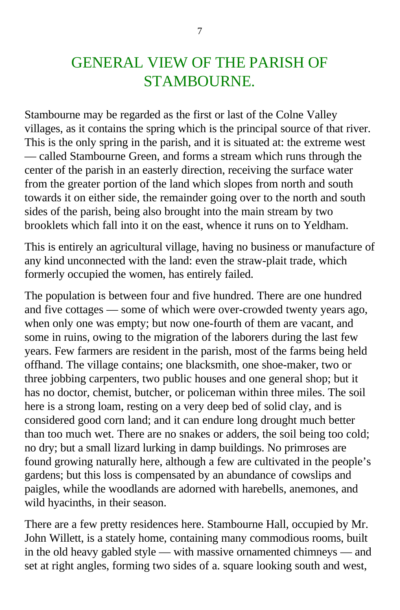## GENERAL VIEW OF THE PARISH OF STAMBOURNE.

Stambourne may be regarded as the first or last of the Colne Valley villages, as it contains the spring which is the principal source of that river. This is the only spring in the parish, and it is situated at: the extreme west — called Stambourne Green, and forms a stream which runs through the center of the parish in an easterly direction, receiving the surface water from the greater portion of the land which slopes from north and south towards it on either side, the remainder going over to the north and south sides of the parish, being also brought into the main stream by two brooklets which fall into it on the east, whence it runs on to Yeldham.

This is entirely an agricultural village, having no business or manufacture of any kind unconnected with the land: even the straw-plait trade, which formerly occupied the women, has entirely failed.

The population is between four and five hundred. There are one hundred and five cottages — some of which were over-crowded twenty years ago, when only one was empty; but now one-fourth of them are vacant, and some in ruins, owing to the migration of the laborers during the last few years. Few farmers are resident in the parish, most of the farms being held offhand. The village contains; one blacksmith, one shoe-maker, two or three jobbing carpenters, two public houses and one general shop; but it has no doctor, chemist, butcher, or policeman within three miles. The soil here is a strong loam, resting on a very deep bed of solid clay, and is considered good corn land; and it can endure long drought much better than too much wet. There are no snakes or adders, the soil being too cold; no dry; but a small lizard lurking in damp buildings. No primroses are found growing naturally here, although a few are cultivated in the people's gardens; but this loss is compensated by an abundance of cowslips and paigles, while the woodlands are adorned with harebells, anemones, and wild hyacinths, in their season.

There are a few pretty residences here. Stambourne Hall, occupied by Mr. John Willett, is a stately home, containing many commodious rooms, built in the old heavy gabled style — with massive ornamented chimneys — and set at right angles, forming two sides of a. square looking south and west,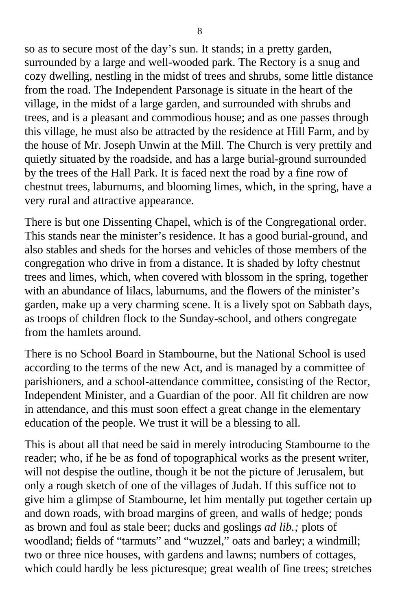so as to secure most of the day's sun. It stands; in a pretty garden, surrounded by a large and well-wooded park. The Rectory is a snug and cozy dwelling, nestling in the midst of trees and shrubs, some little distance from the road. The Independent Parsonage is situate in the heart of the village, in the midst of a large garden, and surrounded with shrubs and trees, and is a pleasant and commodious house; and as one passes through this village, he must also be attracted by the residence at Hill Farm, and by the house of Mr. Joseph Unwin at the Mill. The Church is very prettily and quietly situated by the roadside, and has a large burial-ground surrounded by the trees of the Hall Park. It is faced next the road by a fine row of chestnut trees, laburnums, and blooming limes, which, in the spring, have a very rural and attractive appearance.

There is but one Dissenting Chapel, which is of the Congregational order. This stands near the minister's residence. It has a good burial-ground, and also stables and sheds for the horses and vehicles of those members of the congregation who drive in from a distance. It is shaded by lofty chestnut trees and limes, which, when covered with blossom in the spring, together with an abundance of lilacs, laburnums, and the flowers of the minister's garden, make up a very charming scene. It is a lively spot on Sabbath days, as troops of children flock to the Sunday-school, and others congregate from the hamlets around.

There is no School Board in Stambourne, but the National School is used according to the terms of the new Act, and is managed by a committee of parishioners, and a school-attendance committee, consisting of the Rector, Independent Minister, and a Guardian of the poor. All fit children are now in attendance, and this must soon effect a great change in the elementary education of the people. We trust it will be a blessing to all.

This is about all that need be said in merely introducing Stambourne to the reader; who, if he be as fond of topographical works as the present writer, will not despise the outline, though it be not the picture of Jerusalem, but only a rough sketch of one of the villages of Judah. If this suffice not to give him a glimpse of Stambourne, let him mentally put together certain up and down roads, with broad margins of green, and walls of hedge; ponds as brown and foul as stale beer; ducks and goslings *ad lib.;* plots of woodland; fields of "tarmuts" and "wuzzel," oats and barley; a windmill; two or three nice houses, with gardens and lawns; numbers of cottages, which could hardly be less picturesque; great wealth of fine trees; stretches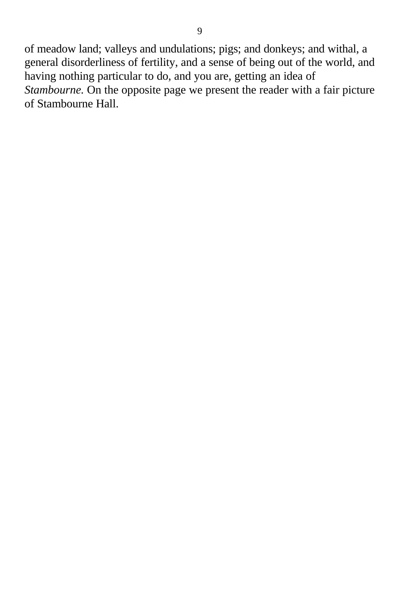of meadow land; valleys and undulations; pigs; and donkeys; and withal, a general disorderliness of fertility, and a sense of being out of the world, and having nothing particular to do, and you are, getting an idea of *Stambourne.* On the opposite page we present the reader with a fair picture of Stambourne Hall.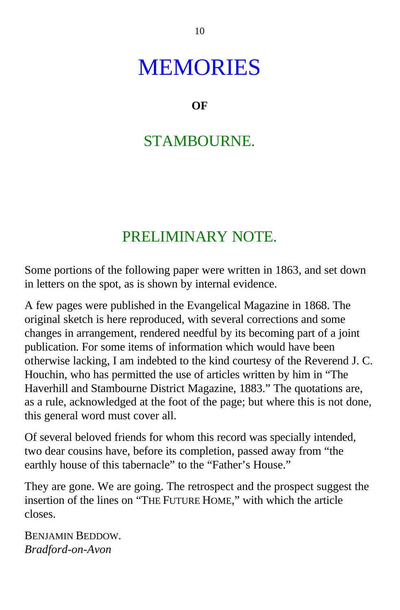## **MEMORIES**

**OF**

## STAMBOURNE.

## PRELIMINARY NOTE.

Some portions of the following paper were written in 1863, and set down in letters on the spot, as is shown by internal evidence.

A few pages were published in the Evangelical Magazine in 1868. The original sketch is here reproduced, with several corrections and some changes in arrangement, rendered needful by its becoming part of a joint publication. For some items of information which would have been otherwise lacking, I am indebted to the kind courtesy of the Reverend J. C. Houchin, who has permitted the use of articles written by him in "The Haverhill and Stambourne District Magazine, 1883." The quotations are, as a rule, acknowledged at the foot of the page; but where this is not done, this general word must cover all.

Of several beloved friends for whom this record was specially intended, two dear cousins have, before its completion, passed away from "the earthly house of this tabernacle" to the "Father's House."

They are gone. We are going. The retrospect and the prospect suggest the insertion of the lines on "THE FUTURE HOME," with which the article closes.

BENJAMIN BEDDOW. *Bradford-on-Avon*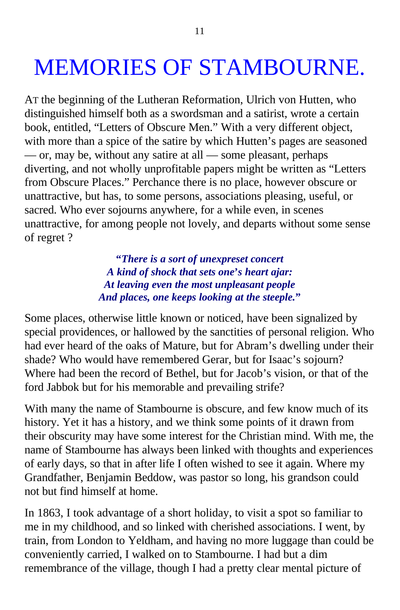# MEMORIES OF STAMBOURNE.

AT the beginning of the Lutheran Reformation, Ulrich von Hutten, who distinguished himself both as a swordsman and a satirist, wrote a certain book, entitled, "Letters of Obscure Men." With a very different object, with more than a spice of the satire by which Hutten's pages are seasoned — or, may be, without any satire at all — some pleasant, perhaps diverting, and not wholly unprofitable papers might be written as "Letters from Obscure Places." Perchance there is no place, however obscure or unattractive, but has, to some persons, associations pleasing, useful, or sacred. Who ever sojourns anywhere, for a while even, in scenes unattractive, for among people not lovely, and departs without some sense of regret ?

> **"***There is a sort of unexpreset concert A kind of shock that sets one***'***s heart ajar: At leaving even the most unpleasant people And places, one keeps looking at the steeple.***"**

Some places, otherwise little known or noticed, have been signalized by special providences, or hallowed by the sanctities of personal religion. Who had ever heard of the oaks of Mature, but for Abram's dwelling under their shade? Who would have remembered Gerar, but for Isaac's sojourn? Where had been the record of Bethel, but for Jacob's vision, or that of the ford Jabbok but for his memorable and prevailing strife?

With many the name of Stambourne is obscure, and few know much of its history. Yet it has a history, and we think some points of it drawn from their obscurity may have some interest for the Christian mind. With me, the name of Stambourne has always been linked with thoughts and experiences of early days, so that in after life I often wished to see it again. Where my Grandfather, Benjamin Beddow, was pastor so long, his grandson could not but find himself at home.

In 1863, I took advantage of a short holiday, to visit a spot so familiar to me in my childhood, and so linked with cherished associations. I went, by train, from London to Yeldham, and having no more luggage than could be conveniently carried, I walked on to Stambourne. I had but a dim remembrance of the village, though I had a pretty clear mental picture of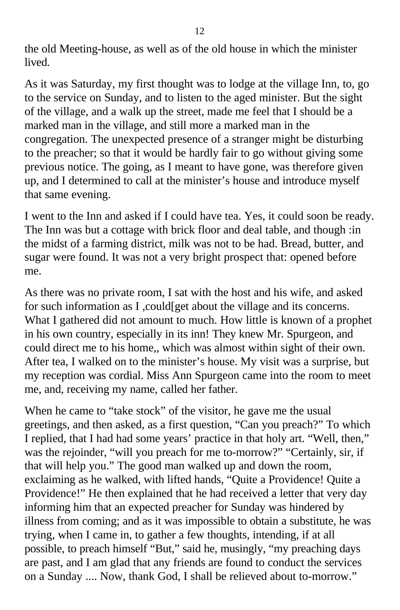the old Meeting-house, as well as of the old house in which the minister lived.

As it was Saturday, my first thought was to lodge at the village Inn, to, go to the service on Sunday, and to listen to the aged minister. But the sight of the village, and a walk up the street, made me feel that I should be a marked man in the village, and still more a marked man in the congregation. The unexpected presence of a stranger might be disturbing to the preacher; so that it would be hardly fair to go without giving some previous notice. The going, as I meant to have gone, was therefore given up, and I determined to call at the minister's house and introduce myself that same evening.

I went to the Inn and asked if I could have tea. Yes, it could soon be ready. The Inn was but a cottage with brick floor and deal table, and though :in the midst of a farming district, milk was not to be had. Bread, butter, and sugar were found. It was not a very bright prospect that: opened before me.

As there was no private room, I sat with the host and his wife, and asked for such information as I ,could[get about the village and its concerns. What I gathered did not amount to much. How little is known of a prophet in his own country, especially in its inn! They knew Mr. Spurgeon, and could direct me to his home,, which was almost within sight of their own. After tea, I walked on to the minister's house. My visit was a surprise, but my reception was cordial. Miss Ann Spurgeon came into the room to meet me, and, receiving my name, called her father.

When he came to "take stock" of the visitor, he gave me the usual greetings, and then asked, as a first question, "Can you preach?" To which I replied, that I had had some years' practice in that holy art. "Well, then," was the rejoinder, "will you preach for me to-morrow?" "Certainly, sir, if that will help you." The good man walked up and down the room, exclaiming as he walked, with lifted hands, "Quite a Providence! Quite a Providence!" He then explained that he had received a letter that very day informing him that an expected preacher for Sunday was hindered by illness from coming; and as it was impossible to obtain a substitute, he was trying, when I came in, to gather a few thoughts, intending, if at all possible, to preach himself "But," said he, musingly, "my preaching days are past, and I am glad that any friends are found to conduct the services on a Sunday .... Now, thank God, I shall be relieved about to-morrow."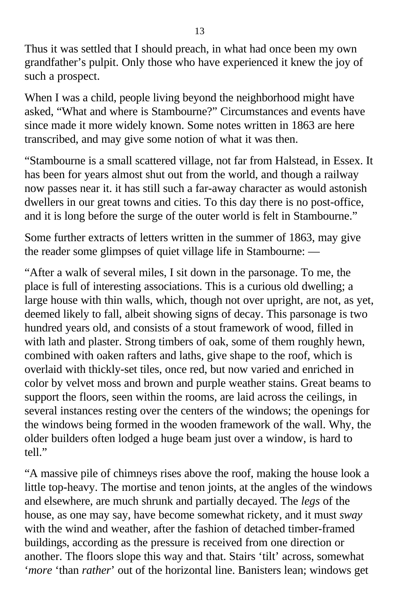Thus it was settled that I should preach, in what had once been my own grandfather's pulpit. Only those who have experienced it knew the joy of such a prospect.

When I was a child, people living beyond the neighborhood might have asked, "What and where is Stambourne?" Circumstances and events have since made it more widely known. Some notes written in 1863 are here transcribed, and may give some notion of what it was then.

"Stambourne is a small scattered village, not far from Halstead, in Essex. It has been for years almost shut out from the world, and though a railway now passes near it. it has still such a far-away character as would astonish dwellers in our great towns and cities. To this day there is no post-office, and it is long before the surge of the outer world is felt in Stambourne."

Some further extracts of letters written in the summer of 1863, may give the reader some glimpses of quiet village life in Stambourne: —

"After a walk of several miles, I sit down in the parsonage. To me, the place is full of interesting associations. This is a curious old dwelling; a large house with thin walls, which, though not over upright, are not, as yet, deemed likely to fall, albeit showing signs of decay. This parsonage is two hundred years old, and consists of a stout framework of wood, filled in with lath and plaster. Strong timbers of oak, some of them roughly hewn, combined with oaken rafters and laths, give shape to the roof, which is overlaid with thickly-set tiles, once red, but now varied and enriched in color by velvet moss and brown and purple weather stains. Great beams to support the floors, seen within the rooms, are laid across the ceilings, in several instances resting over the centers of the windows; the openings for the windows being formed in the wooden framework of the wall. Why, the older builders often lodged a huge beam just over a window, is hard to tell."

"A massive pile of chimneys rises above the roof, making the house look a little top-heavy. The mortise and tenon joints, at the angles of the windows and elsewhere, are much shrunk and partially decayed. The *legs* of the house, as one may say, have become somewhat rickety, and it must *sway* with the wind and weather, after the fashion of detached timber-framed buildings, according as the pressure is received from one direction or another. The floors slope this way and that. Stairs 'tilt' across, somewhat '*more* 'than *rather*' out of the horizontal line. Banisters lean; windows get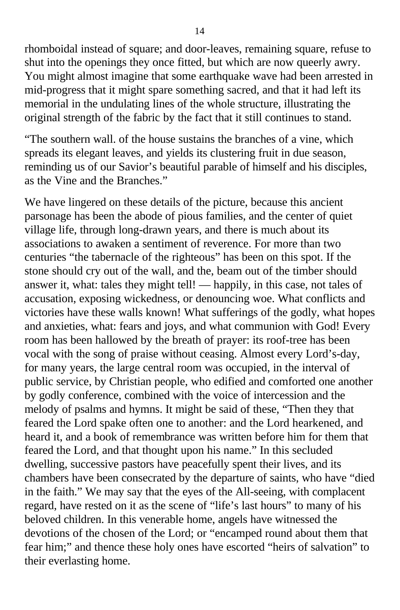rhomboidal instead of square; and door-leaves, remaining square, refuse to shut into the openings they once fitted, but which are now queerly awry. You might almost imagine that some earthquake wave had been arrested in mid-progress that it might spare something sacred, and that it had left its memorial in the undulating lines of the whole structure, illustrating the original strength of the fabric by the fact that it still continues to stand.

"The southern wall. of the house sustains the branches of a vine, which spreads its elegant leaves, and yields its clustering fruit in due season, reminding us of our Savior's beautiful parable of himself and his disciples, as the Vine and the Branches."

We have lingered on these details of the picture, because this ancient parsonage has been the abode of pious families, and the center of quiet village life, through long-drawn years, and there is much about its associations to awaken a sentiment of reverence. For more than two centuries "the tabernacle of the righteous" has been on this spot. If the stone should cry out of the wall, and the, beam out of the timber should answer it, what: tales they might tell! — happily, in this case, not tales of accusation, exposing wickedness, or denouncing woe. What conflicts and victories have these walls known! What sufferings of the godly, what hopes and anxieties, what: fears and joys, and what communion with God! Every room has been hallowed by the breath of prayer: its roof-tree has been vocal with the song of praise without ceasing. Almost every Lord's-day, for many years, the large central room was occupied, in the interval of public service, by Christian people, who edified and comforted one another by godly conference, combined with the voice of intercession and the melody of psalms and hymns. It might be said of these, "Then they that feared the Lord spake often one to another: and the Lord hearkened, and heard it, and a book of remembrance was written before him for them that feared the Lord, and that thought upon his name." In this secluded dwelling, successive pastors have peacefully spent their lives, and its chambers have been consecrated by the departure of saints, who have "died in the faith." We may say that the eyes of the All-seeing, with complacent regard, have rested on it as the scene of "life's last hours" to many of his beloved children. In this venerable home, angels have witnessed the devotions of the chosen of the Lord; or "encamped round about them that fear him;" and thence these holy ones have escorted "heirs of salvation" to their everlasting home.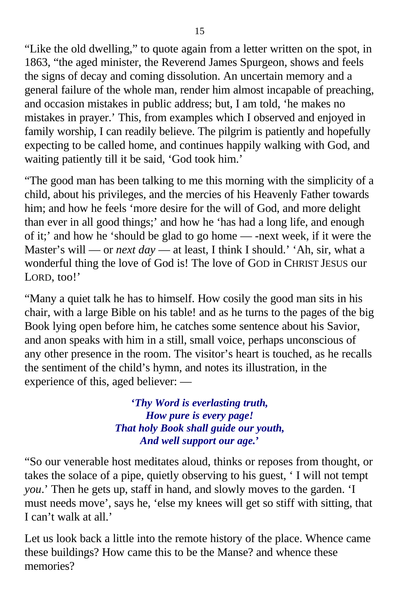"Like the old dwelling," to quote again from a letter written on the spot, in 1863, "the aged minister, the Reverend James Spurgeon, shows and feels the signs of decay and coming dissolution. An uncertain memory and a general failure of the whole man, render him almost incapable of preaching, and occasion mistakes in public address; but, I am told, 'he makes no mistakes in prayer.' This, from examples which I observed and enjoyed in family worship, I can readily believe. The pilgrim is patiently and hopefully expecting to be called home, and continues happily walking with God, and waiting patiently till it be said, 'God took him.'

"The good man has been talking to me this morning with the simplicity of a child, about his privileges, and the mercies of his Heavenly Father towards him; and how he feels 'more desire for the will of God, and more delight than ever in all good things;' and how he 'has had a long life, and enough of it;' and how he 'should be glad to go home — -next week, if it were the Master's will — or *next day* — at least, I think I should.' 'Ah, sir, what a wonderful thing the love of God is! The love of GOD in CHRIST JESUS our LORD, too!'

"Many a quiet talk he has to himself. How cosily the good man sits in his chair, with a large Bible on his table! and as he turns to the pages of the big Book lying open before him, he catches some sentence about his Savior, and anon speaks with him in a still, small voice, perhaps unconscious of any other presence in the room. The visitor's heart is touched, as he recalls the sentiment of the child's hymn, and notes its illustration, in the experience of this, aged believer: —

> **'***Thy Word is everlasting truth, How pure is every page! That holy Book shall guide our youth, And well support our age.***'**

"So our venerable host meditates aloud, thinks or reposes from thought, or takes the solace of a pipe, quietly observing to his guest, ' I will not tempt *you*.' Then he gets up, staff in hand, and slowly moves to the garden. 'I must needs move', says he, 'else my knees will get so stiff with sitting, that I can't walk at all.'

Let us look back a little into the remote history of the place. Whence came these buildings? How came this to be the Manse? and whence these memories?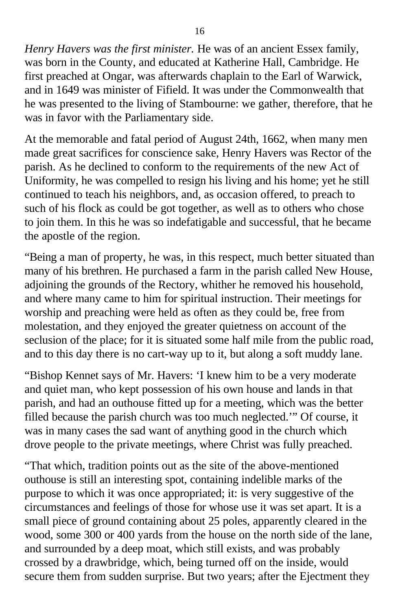*Henry Havers was the first minister.* He was of an ancient Essex family, was born in the County, and educated at Katherine Hall, Cambridge. He first preached at Ongar, was afterwards chaplain to the Earl of Warwick, and in 1649 was minister of Fifield. It was under the Commonwealth that he was presented to the living of Stambourne: we gather, therefore, that he was in favor with the Parliamentary side.

At the memorable and fatal period of August 24th, 1662, when many men made great sacrifices for conscience sake, Henry Havers was Rector of the parish. As he declined to conform to the requirements of the new Act of Uniformity, he was compelled to resign his living and his home; yet he still continued to teach his neighbors, and, as occasion offered, to preach to such of his flock as could be got together, as well as to others who chose to join them. In this he was so indefatigable and successful, that he became the apostle of the region.

"Being a man of property, he was, in this respect, much better situated than many of his brethren. He purchased a farm in the parish called New House, adjoining the grounds of the Rectory, whither he removed his household, and where many came to him for spiritual instruction. Their meetings for worship and preaching were held as often as they could be, free from molestation, and they enjoyed the greater quietness on account of the seclusion of the place; for it is situated some half mile from the public road, and to this day there is no cart-way up to it, but along a soft muddy lane.

"Bishop Kennet says of Mr. Havers: 'I knew him to be a very moderate and quiet man, who kept possession of his own house and lands in that parish, and had an outhouse fitted up for a meeting, which was the better filled because the parish church was too much neglected.'" Of course, it was in many cases the sad want of anything good in the church which drove people to the private meetings, where Christ was fully preached.

"That which, tradition points out as the site of the above-mentioned outhouse is still an interesting spot, containing indelible marks of the purpose to which it was once appropriated; it: is very suggestive of the circumstances and feelings of those for whose use it was set apart. It is a small piece of ground containing about 25 poles, apparently cleared in the wood, some 300 or 400 yards from the house on the north side of the lane, and surrounded by a deep moat, which still exists, and was probably crossed by a drawbridge, which, being turned off on the inside, would secure them from sudden surprise. But two years; after the Ejectment they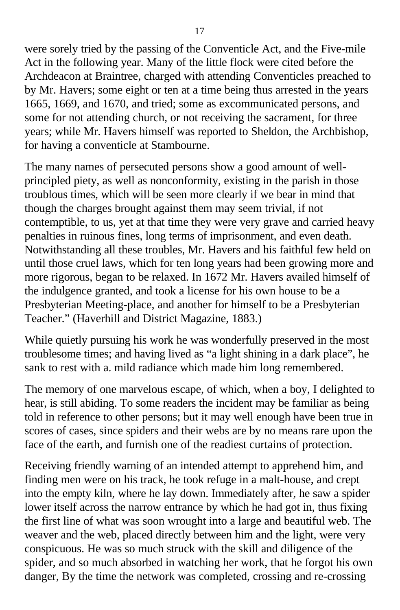were sorely tried by the passing of the Conventicle Act, and the Five-mile Act in the following year. Many of the little flock were cited before the Archdeacon at Braintree, charged with attending Conventicles preached to by Mr. Havers; some eight or ten at a time being thus arrested in the years 1665, 1669, and 1670, and tried; some as excommunicated persons, and some for not attending church, or not receiving the sacrament, for three years; while Mr. Havers himself was reported to Sheldon, the Archbishop, for having a conventicle at Stambourne.

The many names of persecuted persons show a good amount of wellprincipled piety, as well as nonconformity, existing in the parish in those troublous times, which will be seen more clearly if we bear in mind that though the charges brought against them may seem trivial, if not contemptible, to us, yet at that time they were very grave and carried heavy penalties in ruinous fines, long terms of imprisonment, and even death. Notwithstanding all these troubles, Mr. Havers and his faithful few held on until those cruel laws, which for ten long years had been growing more and more rigorous, began to be relaxed. In 1672 Mr. Havers availed himself of the indulgence granted, and took a license for his own house to be a Presbyterian Meeting-place, and another for himself to be a Presbyterian Teacher." (Haverhill and District Magazine, 1883.)

While quietly pursuing his work he was wonderfully preserved in the most troublesome times; and having lived as "a light shining in a dark place", he sank to rest with a. mild radiance which made him long remembered.

The memory of one marvelous escape, of which, when a boy, I delighted to hear, is still abiding. To some readers the incident may be familiar as being told in reference to other persons; but it may well enough have been true in scores of cases, since spiders and their webs are by no means rare upon the face of the earth, and furnish one of the readiest curtains of protection.

Receiving friendly warning of an intended attempt to apprehend him, and finding men were on his track, he took refuge in a malt-house, and crept into the empty kiln, where he lay down. Immediately after, he saw a spider lower itself across the narrow entrance by which he had got in, thus fixing the first line of what was soon wrought into a large and beautiful web. The weaver and the web, placed directly between him and the light, were very conspicuous. He was so much struck with the skill and diligence of the spider, and so much absorbed in watching her work, that he forgot his own danger, By the time the network was completed, crossing and re-crossing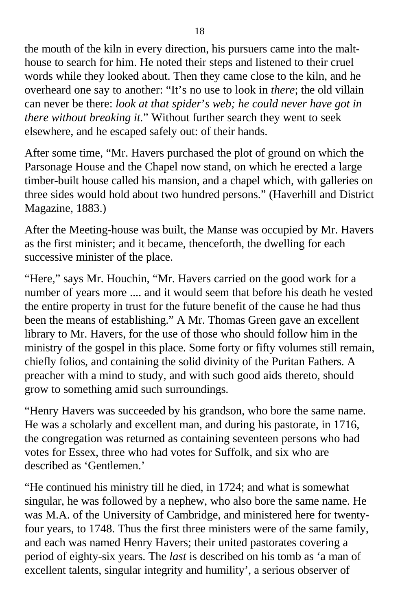the mouth of the kiln in every direction, his pursuers came into the malthouse to search for him. He noted their steps and listened to their cruel words while they looked about. Then they came close to the kiln, and he overheard one say to another: "It's no use to look in *there*; the old villain can never be there: *look at that spider*'*s web; he could never have got in there without breaking it.*" Without further search they went to seek elsewhere, and he escaped safely out: of their hands.

After some time, "Mr. Havers purchased the plot of ground on which the Parsonage House and the Chapel now stand, on which he erected a large timber-built house called his mansion, and a chapel which, with galleries on three sides would hold about two hundred persons." (Haverhill and District Magazine, 1883.)

After the Meeting-house was built, the Manse was occupied by Mr. Havers as the first minister; and it became, thenceforth, the dwelling for each successive minister of the place.

"Here," says Mr. Houchin, "Mr. Havers carried on the good work for a number of years more .... and it would seem that before his death he vested the entire property in trust for the future benefit of the cause he had thus been the means of establishing." A Mr. Thomas Green gave an excellent library to Mr. Havers, for the use of those who should follow him in the ministry of the gospel in this place. Some forty or fifty volumes still remain, chiefly folios, and containing the solid divinity of the Puritan Fathers. A preacher with a mind to study, and with such good aids thereto, should grow to something amid such surroundings.

"Henry Havers was succeeded by his grandson, who bore the same name. He was a scholarly and excellent man, and during his pastorate, in 1716, the congregation was returned as containing seventeen persons who had votes for Essex, three who had votes for Suffolk, and six who are described as 'Gentlemen.'

"He continued his ministry till he died, in 1724; and what is somewhat singular, he was followed by a nephew, who also bore the same name. He was M.A. of the University of Cambridge, and ministered here for twentyfour years, to 1748. Thus the first three ministers were of the same family, and each was named Henry Havers; their united pastorates covering a period of eighty-six years. The *last* is described on his tomb as 'a man of excellent talents, singular integrity and humility', a serious observer of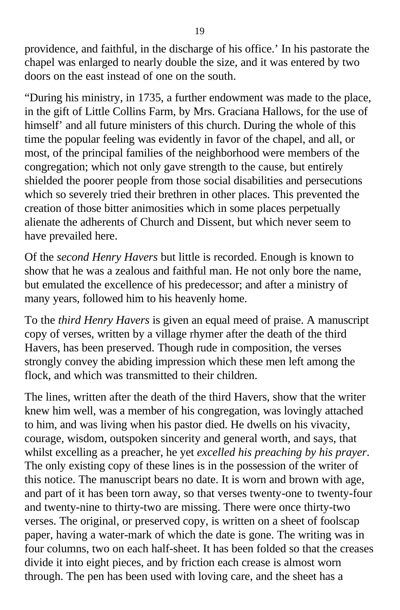providence, and faithful, in the discharge of his office.' In his pastorate the chapel was enlarged to nearly double the size, and it was entered by two doors on the east instead of one on the south.

"During his ministry, in 1735, a further endowment was made to the place, in the gift of Little Collins Farm, by Mrs. Graciana Hallows, for the use of himself' and all future ministers of this church. During the whole of this time the popular feeling was evidently in favor of the chapel, and all, or most, of the principal families of the neighborhood were members of the congregation; which not only gave strength to the cause, but entirely shielded the poorer people from those social disabilities and persecutions which so severely tried their brethren in other places. This prevented the creation of those bitter animosities which in some places perpetually alienate the adherents of Church and Dissent, but which never seem to have prevailed here.

Of the *second Henry Havers* but little is recorded. Enough is known to show that he was a zealous and faithful man. He not only bore the name, but emulated the excellence of his predecessor; and after a ministry of many years, followed him to his heavenly home.

To the *third Henry Havers* is given an equal meed of praise. A manuscript copy of verses, written by a village rhymer after the death of the third Havers, has been preserved. Though rude in composition, the verses strongly convey the abiding impression which these men left among the flock, and which was transmitted to their children.

The lines, written after the death of the third Havers, show that the writer knew him well, was a member of his congregation, was lovingly attached to him, and was living when his pastor died. He dwells on his vivacity, courage, wisdom, outspoken sincerity and general worth, and says, that whilst excelling as a preacher, he yet *excelled his preaching by his prayer*. The only existing copy of these lines is in the possession of the writer of this notice. The manuscript bears no date. It is worn and brown with age, and part of it has been torn away, so that verses twenty-one to twenty-four and twenty-nine to thirty-two are missing. There were once thirty-two verses. The original, or preserved copy, is written on a sheet of foolscap paper, having a water-mark of which the date is gone. The writing was in four columns, two on each half-sheet. It has been folded so that the creases divide it into eight pieces, and by friction each crease is almost worn through. The pen has been used with loving care, and the sheet has a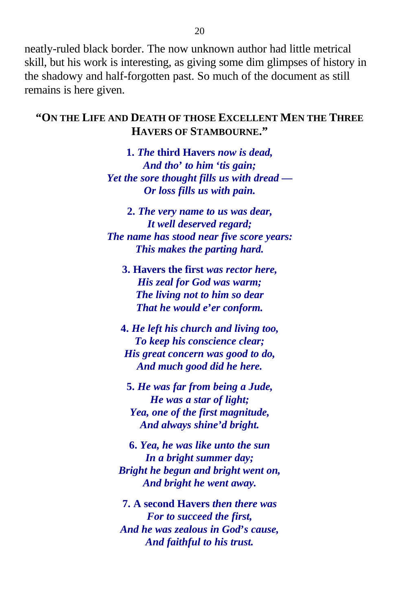neatly-ruled black border. The now unknown author had little metrical skill, but his work is interesting, as giving some dim glimpses of history in the shadowy and half-forgotten past. So much of the document as still remains is here given.

#### **"ON THE LIFE AND DEATH OF THOSE EXCELLENT MEN THE THREE HAVERS OF STAMBOURNE."**

**1.** *The* **third Havers** *now is dead, And tho***'** *to him* **'***tis gain; Yet the sore thought fills us with dread — Or loss fills us with pain.*

**2.** *The very name to us was dear, It well deserved regard; The name has stood near five score years: This makes the parting hard.*

**3. Havers the first** *was rector here, His zeal for God was warm; The living not to him so dear That he would e***'***er conform.*

**4.** *He left his church and living too, To keep his conscience clear; His great concern was good to do, And much good did he here.*

**5.** *He was far from being a Jude, He was a star of light; Yea, one of the first magnitude, And always shine'd bright.*

**6.** *Yea, he was like unto the sun In a bright summer day; Bright he begun and bright went on, And bright he went away.*

**7. A second Havers** *then there was For to succeed the first, And he was zealous in God***'***s cause, And faithful to his trust.*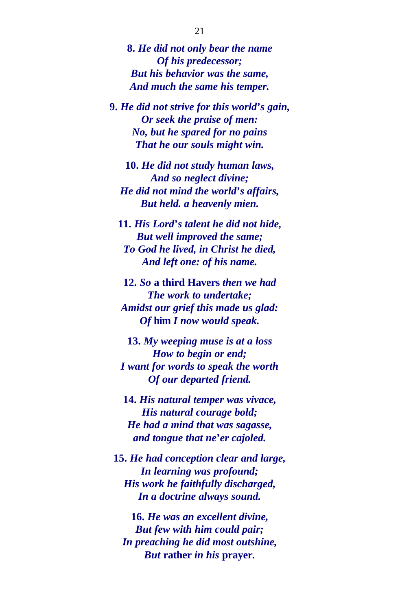**8.** *He did not only bear the name Of his predecessor; But his behavior was the same, And much the same his temper.*

**9.** *He did not strive for this world***'***s gain, Or seek the praise of men: No, but he spared for no pains That he our souls might win.*

**10.** *He did not study human laws, And so neglect divine; He did not mind the world***'***s affairs, But held. a heavenly mien.*

**11.** *His Lord***'***s talent he did not hide, But well improved the same; To God he lived, in Christ he died, And left one: of his name.*

**12.** *So* **a third Havers** *then we had The work to undertake; Amidst our grief this made us glad: Of* **him** *I now would speak.*

**13.** *My weeping muse is at a loss How to begin or end; I want for words to speak the worth Of our departed friend.*

**14.** *His natural temper was vivace, His natural courage bold; He had a mind that was sagasse, and tongue that ne***'***er cajoled.*

**15.** *He had conception clear and large, In learning was profound; His work he faithfully discharged, In a doctrine always sound.*

**16.** *He was an excellent divine, But few with him could pair; In preaching he did most outshine, But* **rather** *in his* **prayer***.*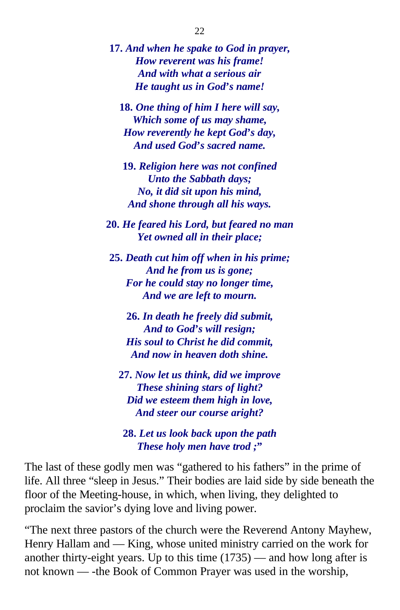**17.** *And when he spake to God in prayer, How reverent was his frame! And with what a serious air He taught us in God***'***s name!*

**18.** *One thing of him I here will say, Which some of us may shame, How reverently he kept God***'***s day, And used God***'***s sacred name.*

**19.** *Religion here was not confined Unto the Sabbath days; No, it did sit upon his mind, And shone through all his ways.*

**20.** *He feared his Lord, but feared no man Yet owned all in their place;*

**25.** *Death cut him off when in his prime; And he from us is gone; For he could stay no longer time, And we are left to mourn.*

**26.** *In death he freely did submit, And to God***'***s will resign; His soul to Christ he did commit, And now in heaven doth shine.*

**27.** *Now let us think, did we improve These shining stars of light? Did we esteem them high in love, And steer our course aright?*

**28.** *Let us look back upon the path These holy men have trod ;***"**

The last of these godly men was "gathered to his fathers" in the prime of life. All three "sleep in Jesus." Their bodies are laid side by side beneath the floor of the Meeting-house, in which, when living, they delighted to proclaim the savior's dying love and living power.

"The next three pastors of the church were the Reverend Antony Mayhew, Henry Hallam and — King, whose united ministry carried on the work for another thirty-eight years. Up to this time  $(1735)$  — and how long after is not known — -the Book of Common Prayer was used in the worship,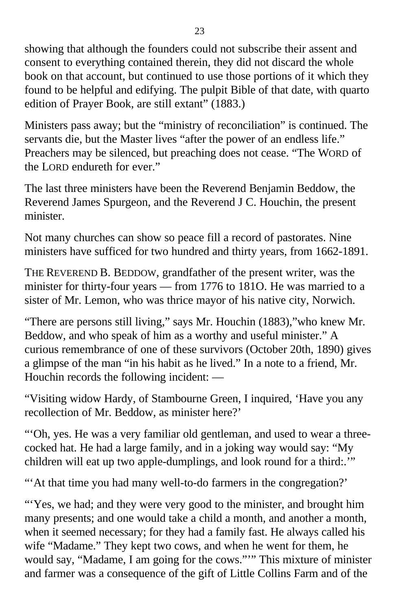showing that although the founders could not subscribe their assent and consent to everything contained therein, they did not discard the whole book on that account, but continued to use those portions of it which they found to be helpful and edifying. The pulpit Bible of that date, with quarto edition of Prayer Book, are still extant" (1883.)

Ministers pass away; but the "ministry of reconciliation" is continued. The servants die, but the Master lives "after the power of an endless life." Preachers may be silenced, but preaching does not cease. "The WORD of the LORD endureth for ever."

The last three ministers have been the Reverend Benjamin Beddow, the Reverend James Spurgeon, and the Reverend J C. Houchin, the present minister.

Not many churches can show so peace fill a record of pastorates. Nine ministers have sufficed for two hundred and thirty years, from 1662-1891.

THE REVEREND B. BEDDOW, grandfather of the present writer, was the minister for thirty-four years — from 1776 to 181O. He was married to a sister of Mr. Lemon, who was thrice mayor of his native city, Norwich.

"There are persons still living," says Mr. Houchin (1883),"who knew Mr. Beddow, and who speak of him as a worthy and useful minister." A curious remembrance of one of these survivors (October 20th, 1890) gives a glimpse of the man "in his habit as he lived." In a note to a friend, Mr. Houchin records the following incident: —

"Visiting widow Hardy, of Stambourne Green, I inquired, 'Have you any recollection of Mr. Beddow, as minister here?'

"'Oh, yes. He was a very familiar old gentleman, and used to wear a threecocked hat. He had a large family, and in a joking way would say: "My children will eat up two apple-dumplings, and look round for a third:.'"

"'At that time you had many well-to-do farmers in the congregation?'

"Yes, we had; and they were very good to the minister, and brought him many presents; and one would take a child a month, and another a month, when it seemed necessary; for they had a family fast. He always called his wife "Madame." They kept two cows, and when he went for them, he would say, "Madame, I am going for the cows."'" This mixture of minister and farmer was a consequence of the gift of Little Collins Farm and of the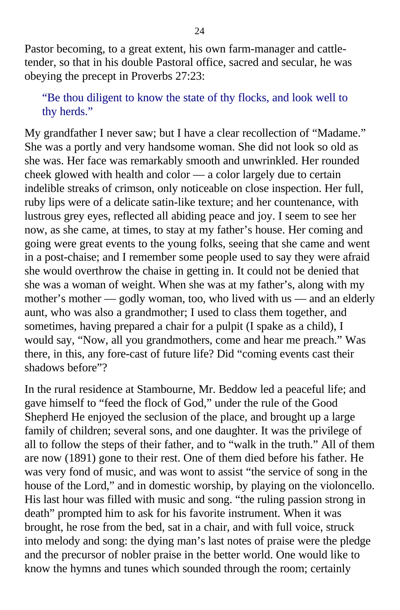Pastor becoming, to a great extent, his own farm-manager and cattletender, so that in his double Pastoral office, sacred and secular, he was obeying the precept in Proverbs 27:23:

"Be thou diligent to know the state of thy flocks, and look well to thy herds."

My grandfather I never saw; but I have a clear recollection of "Madame." She was a portly and very handsome woman. She did not look so old as she was. Her face was remarkably smooth and unwrinkled. Her rounded cheek glowed with health and color — a color largely due to certain indelible streaks of crimson, only noticeable on close inspection. Her full, ruby lips were of a delicate satin-like texture; and her countenance, with lustrous grey eyes, reflected all abiding peace and joy. I seem to see her now, as she came, at times, to stay at my father's house. Her coming and going were great events to the young folks, seeing that she came and went in a post-chaise; and I remember some people used to say they were afraid she would overthrow the chaise in getting in. It could not be denied that she was a woman of weight. When she was at my father's, along with my mother's mother — godly woman, too, who lived with us — and an elderly aunt, who was also a grandmother; I used to class them together, and sometimes, having prepared a chair for a pulpit (I spake as a child), I would say, "Now, all you grandmothers, come and hear me preach." Was there, in this, any fore-cast of future life? Did "coming events cast their shadows before"?

In the rural residence at Stambourne, Mr. Beddow led a peaceful life; and gave himself to "feed the flock of God," under the rule of the Good Shepherd He enjoyed the seclusion of the place, and brought up a large family of children; several sons, and one daughter. It was the privilege of all to follow the steps of their father, and to "walk in the truth." All of them are now (1891) gone to their rest. One of them died before his father. He was very fond of music, and was wont to assist "the service of song in the house of the Lord," and in domestic worship, by playing on the violoncello. His last hour was filled with music and song. "the ruling passion strong in death" prompted him to ask for his favorite instrument. When it was brought, he rose from the bed, sat in a chair, and with full voice, struck into melody and song: the dying man's last notes of praise were the pledge and the precursor of nobler praise in the better world. One would like to know the hymns and tunes which sounded through the room; certainly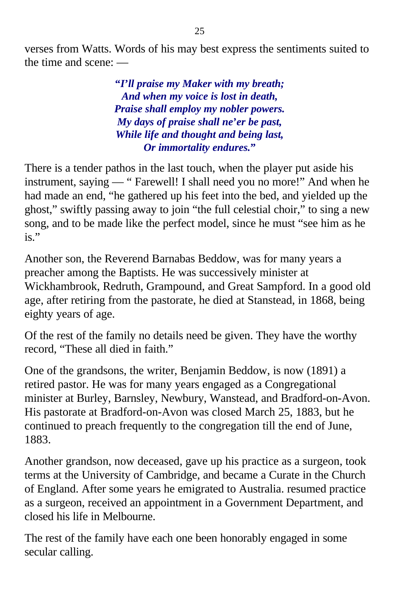verses from Watts. Words of his may best express the sentiments suited to the time and scene: —

> **"***I***'***ll praise my Maker with my breath; And when my voice is lost in death, Praise shall employ my nobler powers. My days of praise shall ne***'***er be past, While life and thought and being last, Or immortality endures.***"**

There is a tender pathos in the last touch, when the player put aside his instrument, saying — " Farewell! I shall need you no more!" And when he had made an end, "he gathered up his feet into the bed, and yielded up the ghost," swiftly passing away to join "the full celestial choir," to sing a new song, and to be made like the perfect model, since he must "see him as he is."

Another son, the Reverend Barnabas Beddow, was for many years a preacher among the Baptists. He was successively minister at Wickhambrook, Redruth, Grampound, and Great Sampford. In a good old age, after retiring from the pastorate, he died at Stanstead, in 1868, being eighty years of age.

Of the rest of the family no details need be given. They have the worthy record, "These all died in faith."

One of the grandsons, the writer, Benjamin Beddow, is now (1891) a retired pastor. He was for many years engaged as a Congregational minister at Burley, Barnsley, Newbury, Wanstead, and Bradford-on-Avon. His pastorate at Bradford-on-Avon was closed March 25, 1883, but he continued to preach frequently to the congregation till the end of June, 1883.

Another grandson, now deceased, gave up his practice as a surgeon, took terms at the University of Cambridge, and became a Curate in the Church of England. After some years he emigrated to Australia. resumed practice as a surgeon, received an appointment in a Government Department, and closed his life in Melbourne.

The rest of the family have each one been honorably engaged in some secular calling.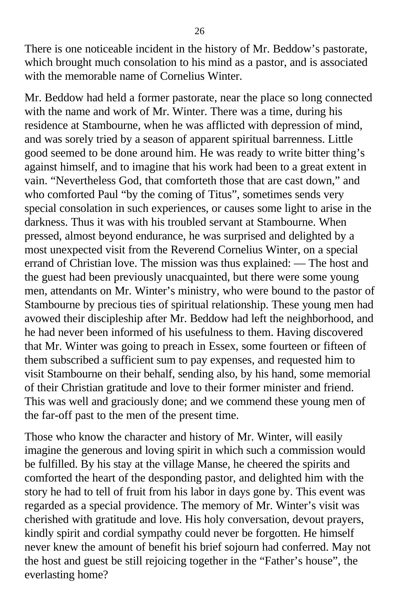There is one noticeable incident in the history of Mr. Beddow's pastorate, which brought much consolation to his mind as a pastor, and is associated with the memorable name of Cornelius Winter.

Mr. Beddow had held a former pastorate, near the place so long connected with the name and work of Mr. Winter. There was a time, during his residence at Stambourne, when he was afflicted with depression of mind, and was sorely tried by a season of apparent spiritual barrenness. Little good seemed to be done around him. He was ready to write bitter thing's against himself, and to imagine that his work had been to a great extent in vain. "Nevertheless God, that comforteth those that are cast down," and who comforted Paul "by the coming of Titus", sometimes sends very special consolation in such experiences, or causes some light to arise in the darkness. Thus it was with his troubled servant at Stambourne. When pressed, almost beyond endurance, he was surprised and delighted by a most unexpected visit from the Reverend Cornelius Winter, on a special errand of Christian love. The mission was thus explained: — The host and the guest had been previously unacquainted, but there were some young men, attendants on Mr. Winter's ministry, who were bound to the pastor of Stambourne by precious ties of spiritual relationship. These young men had avowed their discipleship after Mr. Beddow had left the neighborhood, and he had never been informed of his usefulness to them. Having discovered that Mr. Winter was going to preach in Essex, some fourteen or fifteen of them subscribed a sufficient sum to pay expenses, and requested him to visit Stambourne on their behalf, sending also, by his hand, some memorial of their Christian gratitude and love to their former minister and friend. This was well and graciously done; and we commend these young men of the far-off past to the men of the present time.

Those who know the character and history of Mr. Winter, will easily imagine the generous and loving spirit in which such a commission would be fulfilled. By his stay at the village Manse, he cheered the spirits and comforted the heart of the desponding pastor, and delighted him with the story he had to tell of fruit from his labor in days gone by. This event was regarded as a special providence. The memory of Mr. Winter's visit was cherished with gratitude and love. His holy conversation, devout prayers, kindly spirit and cordial sympathy could never be forgotten. He himself never knew the amount of benefit his brief sojourn had conferred. May not the host and guest be still rejoicing together in the "Father's house", the everlasting home?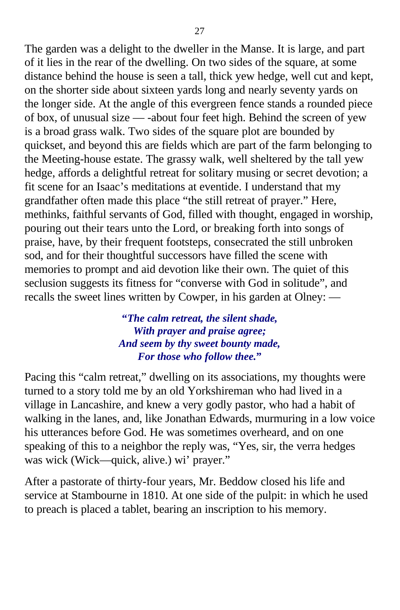The garden was a delight to the dweller in the Manse. It is large, and part of it lies in the rear of the dwelling. On two sides of the square, at some distance behind the house is seen a tall, thick yew hedge, well cut and kept, on the shorter side about sixteen yards long and nearly seventy yards on the longer side. At the angle of this evergreen fence stands a rounded piece of box, of unusual size — -about four feet high. Behind the screen of yew is a broad grass walk. Two sides of the square plot are bounded by quickset, and beyond this are fields which are part of the farm belonging to the Meeting-house estate. The grassy walk, well sheltered by the tall yew hedge, affords a delightful retreat for solitary musing or secret devotion; a fit scene for an Isaac's meditations at eventide. I understand that my grandfather often made this place "the still retreat of prayer." Here, methinks, faithful servants of God, filled with thought, engaged in worship, pouring out their tears unto the Lord, or breaking forth into songs of praise, have, by their frequent footsteps, consecrated the still unbroken sod, and for their thoughtful successors have filled the scene with memories to prompt and aid devotion like their own. The quiet of this seclusion suggests its fitness for "converse with God in solitude", and recalls the sweet lines written by Cowper, in his garden at Olney: —

> **"***The calm retreat, the silent shade, With prayer and praise agree; And seem by thy sweet bounty made, For those who follow thee.***"**

Pacing this "calm retreat," dwelling on its associations, my thoughts were turned to a story told me by an old Yorkshireman who had lived in a village in Lancashire, and knew a very godly pastor, who had a habit of walking in the lanes, and, like Jonathan Edwards, murmuring in a low voice his utterances before God. He was sometimes overheard, and on one speaking of this to a neighbor the reply was, "Yes, sir, the verra hedges was wick (Wick—quick, alive.) wi' prayer."

After a pastorate of thirty-four years, Mr. Beddow closed his life and service at Stambourne in 1810. At one side of the pulpit: in which he used to preach is placed a tablet, bearing an inscription to his memory.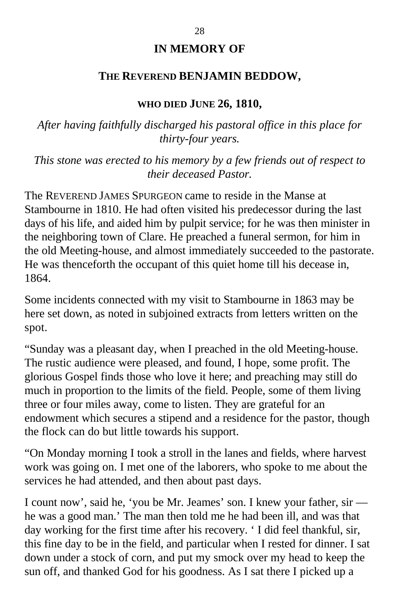### **IN MEMORY OF**

#### **THE REVEREND BENJAMIN BEDDOW,**

#### **WHO DIED JUNE 26, 1810,**

*After having faithfully discharged his pastoral office in this place for thirty-four years.*

*This stone was erected to his memory by a few friends out of respect to their deceased Pastor.*

The REVEREND JAMES SPURGEON came to reside in the Manse at Stambourne in 1810. He had often visited his predecessor during the last days of his life, and aided him by pulpit service; for he was then minister in the neighboring town of Clare. He preached a funeral sermon, for him in the old Meeting-house, and almost immediately succeeded to the pastorate. He was thenceforth the occupant of this quiet home till his decease in, 1864.

Some incidents connected with my visit to Stambourne in 1863 may be here set down, as noted in subjoined extracts from letters written on the spot.

"Sunday was a pleasant day, when I preached in the old Meeting-house. The rustic audience were pleased, and found, I hope, some profit. The glorious Gospel finds those who love it here; and preaching may still do much in proportion to the limits of the field. People, some of them living three or four miles away, come to listen. They are grateful for an endowment which secures a stipend and a residence for the pastor, though the flock can do but little towards his support.

"On Monday morning I took a stroll in the lanes and fields, where harvest work was going on. I met one of the laborers, who spoke to me about the services he had attended, and then about past days.

I count now', said he, 'you be Mr. Jeames' son. I knew your father, sir he was a good man.' The man then told me he had been ill, and was that day working for the first time after his recovery. ' I did feel thankful, sir, this fine day to be in the field, and particular when I rested for dinner. I sat down under a stock of corn, and put my smock over my head to keep the sun off, and thanked God for his goodness. As I sat there I picked up a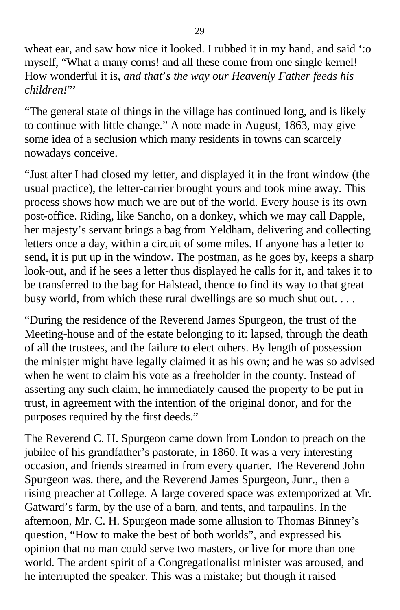wheat ear, and saw how nice it looked. I rubbed it in my hand, and said ':o myself, "What a many corns! and all these come from one single kernel! How wonderful it is, *and that*'*s the way our Heavenly Father feeds his children!*"'

"The general state of things in the village has continued long, and is likely to continue with little change." A note made in August, 1863, may give some idea of a seclusion which many residents in towns can scarcely nowadays conceive.

"Just after I had closed my letter, and displayed it in the front window (the usual practice), the letter-carrier brought yours and took mine away. This process shows how much we are out of the world. Every house is its own post-office. Riding, like Sancho, on a donkey, which we may call Dapple, her majesty's servant brings a bag from Yeldham, delivering and collecting letters once a day, within a circuit of some miles. If anyone has a letter to send, it is put up in the window. The postman, as he goes by, keeps a sharp look-out, and if he sees a letter thus displayed he calls for it, and takes it to be transferred to the bag for Halstead, thence to find its way to that great busy world, from which these rural dwellings are so much shut out. . . .

"During the residence of the Reverend James Spurgeon, the trust of the Meeting-house and of the estate belonging to it: lapsed, through the death of all the trustees, and the failure to elect others. By length of possession the minister might have legally claimed it as his own; and he was so advised when he went to claim his vote as a freeholder in the county. Instead of asserting any such claim, he immediately caused the property to be put in trust, in agreement with the intention of the original donor, and for the purposes required by the first deeds."

The Reverend C. H. Spurgeon came down from London to preach on the jubilee of his grandfather's pastorate, in 1860. It was a very interesting occasion, and friends streamed in from every quarter. The Reverend John Spurgeon was. there, and the Reverend James Spurgeon, Junr., then a rising preacher at College. A large covered space was extemporized at Mr. Gatward's farm, by the use of a barn, and tents, and tarpaulins. In the afternoon, Mr. C. H. Spurgeon made some allusion to Thomas Binney's question, "How to make the best of both worlds", and expressed his opinion that no man could serve two masters, or live for more than one world. The ardent spirit of a Congregationalist minister was aroused, and he interrupted the speaker. This was a mistake; but though it raised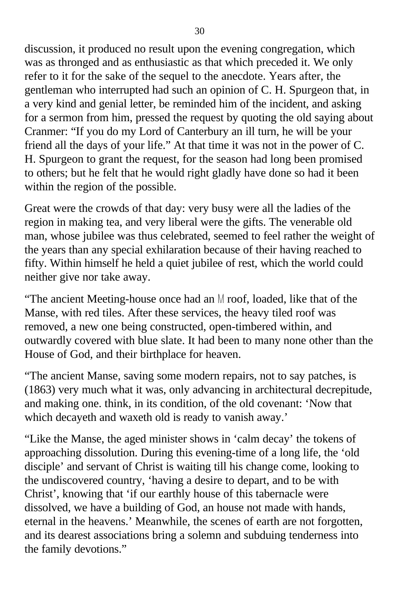discussion, it produced no result upon the evening congregation, which was as thronged and as enthusiastic as that which preceded it. We only refer to it for the sake of the sequel to the anecdote. Years after, the gentleman who interrupted had such an opinion of C. H. Spurgeon that, in a very kind and genial letter, be reminded him of the incident, and asking for a sermon from him, pressed the request by quoting the old saying about Cranmer: "If you do my Lord of Canterbury an ill turn, he will be your friend all the days of your life." At that time it was not in the power of C. H. Spurgeon to grant the request, for the season had long been promised to others; but he felt that he would right gladly have done so had it been within the region of the possible.

Great were the crowds of that day: very busy were all the ladies of the region in making tea, and very liberal were the gifts. The venerable old man, whose jubilee was thus celebrated, seemed to feel rather the weight of the years than any special exhilaration because of their having reached to fifty. Within himself he held a quiet jubilee of rest, which the world could neither give nor take away.

"The ancient Meeting-house once had an  $M$  roof, loaded, like that of the Manse, with red tiles. After these services, the heavy tiled roof was removed, a new one being constructed, open-timbered within, and outwardly covered with blue slate. It had been to many none other than the House of God, and their birthplace for heaven.

"The ancient Manse, saving some modern repairs, not to say patches, is (1863) very much what it was, only advancing in architectural decrepitude, and making one. think, in its condition, of the old covenant: 'Now that which decayeth and waxeth old is ready to vanish away.'

"Like the Manse, the aged minister shows in 'calm decay' the tokens of approaching dissolution. During this evening-time of a long life, the 'old disciple' and servant of Christ is waiting till his change come, looking to the undiscovered country, 'having a desire to depart, and to be with Christ', knowing that 'if our earthly house of this tabernacle were dissolved, we have a building of God, an house not made with hands, eternal in the heavens.' Meanwhile, the scenes of earth are not forgotten, and its dearest associations bring a solemn and subduing tenderness into the family devotions."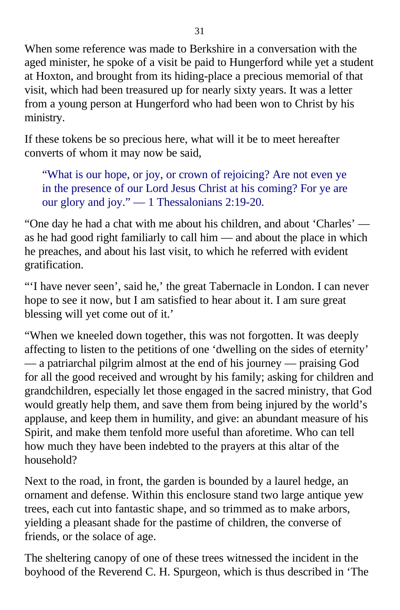When some reference was made to Berkshire in a conversation with the aged minister, he spoke of a visit be paid to Hungerford while yet a student at Hoxton, and brought from its hiding-place a precious memorial of that visit, which had been treasured up for nearly sixty years. It was a letter from a young person at Hungerford who had been won to Christ by his ministry.

If these tokens be so precious here, what will it be to meet hereafter converts of whom it may now be said,

"What is our hope, or joy, or crown of rejoicing? Are not even ye in the presence of our Lord Jesus Christ at his coming? For ye are our glory and joy." — 1 Thessalonians 2:19-20.

"One day he had a chat with me about his children, and about 'Charles' as he had good right familiarly to call him — and about the place in which he preaches, and about his last visit, to which he referred with evident gratification.

"'I have never seen', said he,' the great Tabernacle in London. I can never hope to see it now, but I am satisfied to hear about it. I am sure great blessing will yet come out of it.'

"When we kneeled down together, this was not forgotten. It was deeply affecting to listen to the petitions of one 'dwelling on the sides of eternity' — a patriarchal pilgrim almost at the end of his journey — praising God for all the good received and wrought by his family; asking for children and grandchildren, especially let those engaged in the sacred ministry, that God would greatly help them, and save them from being injured by the world's applause, and keep them in humility, and give: an abundant measure of his Spirit, and make them tenfold more useful than aforetime. Who can tell how much they have been indebted to the prayers at this altar of the household?

Next to the road, in front, the garden is bounded by a laurel hedge, an ornament and defense. Within this enclosure stand two large antique yew trees, each cut into fantastic shape, and so trimmed as to make arbors, yielding a pleasant shade for the pastime of children, the converse of friends, or the solace of age.

The sheltering canopy of one of these trees witnessed the incident in the boyhood of the Reverend C. H. Spurgeon, which is thus described in 'The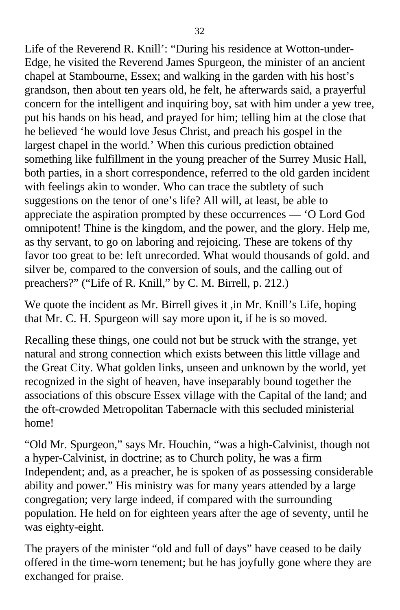Life of the Reverend R. Knill': "During his residence at Wotton-under-Edge, he visited the Reverend James Spurgeon, the minister of an ancient chapel at Stambourne, Essex; and walking in the garden with his host's grandson, then about ten years old, he felt, he afterwards said, a prayerful concern for the intelligent and inquiring boy, sat with him under a yew tree, put his hands on his head, and prayed for him; telling him at the close that he believed 'he would love Jesus Christ, and preach his gospel in the largest chapel in the world.' When this curious prediction obtained something like fulfillment in the young preacher of the Surrey Music Hall, both parties, in a short correspondence, referred to the old garden incident with feelings akin to wonder. Who can trace the subtlety of such suggestions on the tenor of one's life? All will, at least, be able to appreciate the aspiration prompted by these occurrences — 'O Lord God omnipotent! Thine is the kingdom, and the power, and the glory. Help me, as thy servant, to go on laboring and rejoicing. These are tokens of thy favor too great to be: left unrecorded. What would thousands of gold. and silver be, compared to the conversion of souls, and the calling out of preachers?" ("Life of R. Knill," by C. M. Birrell, p. 212.)

We quote the incident as Mr. Birrell gives it ,in Mr. Knill's Life, hoping that Mr. C. H. Spurgeon will say more upon it, if he is so moved.

Recalling these things, one could not but be struck with the strange, yet natural and strong connection which exists between this little village and the Great City. What golden links, unseen and unknown by the world, yet recognized in the sight of heaven, have inseparably bound together the associations of this obscure Essex village with the Capital of the land; and the oft-crowded Metropolitan Tabernacle with this secluded ministerial home!

"Old Mr. Spurgeon," says Mr. Houchin, "was a high-Calvinist, though not a hyper-Calvinist, in doctrine; as to Church polity, he was a firm Independent; and, as a preacher, he is spoken of as possessing considerable ability and power." His ministry was for many years attended by a large congregation; very large indeed, if compared with the surrounding population. He held on for eighteen years after the age of seventy, until he was eighty-eight.

The prayers of the minister "old and full of days" have ceased to be daily offered in the time-worn tenement; but he has joyfully gone where they are exchanged for praise.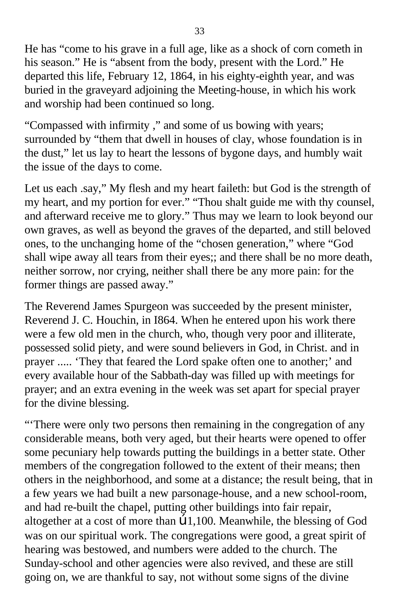He has "come to his grave in a full age, like as a shock of corn cometh in his season." He is "absent from the body, present with the Lord." He departed this life, February 12, 1864, in his eighty-eighth year, and was buried in the graveyard adjoining the Meeting-house, in which his work and worship had been continued so long.

"Compassed with infirmity ," and some of us bowing with years; surrounded by "them that dwell in houses of clay, whose foundation is in the dust," let us lay to heart the lessons of bygone days, and humbly wait the issue of the days to come.

Let us each .say," My flesh and my heart faileth: but God is the strength of my heart, and my portion for ever." "Thou shalt guide me with thy counsel, and afterward receive me to glory." Thus may we learn to look beyond our own graves, as well as beyond the graves of the departed, and still beloved ones, to the unchanging home of the "chosen generation," where "God shall wipe away all tears from their eyes;; and there shall be no more death, neither sorrow, nor crying, neither shall there be any more pain: for the former things are passed away."

The Reverend James Spurgeon was succeeded by the present minister, Reverend J. C. Houchin, in I864. When he entered upon his work there were a few old men in the church, who, though very poor and illiterate, possessed solid piety, and were sound believers in God, in Christ. and in prayer ..... 'They that feared the Lord spake often one to another;' and every available hour of the Sabbath-day was filled up with meetings for prayer; and an extra evening in the week was set apart for special prayer for the divine blessing.

"There were only two persons then remaining in the congregation of any considerable means, both very aged, but their hearts were opened to offer some pecuniary help towards putting the buildings in a better state. Other members of the congregation followed to the extent of their means; then others in the neighborhood, and some at a distance; the result being, that in a few years we had built a new parsonage-house, and a new school-room, and had re-built the chapel, putting other buildings into fair repair, altogether at a cost of more than œ1,100. Meanwhile, the blessing of God was on our spiritual work. The congregations were good, a great spirit of hearing was bestowed, and numbers were added to the church. The Sunday-school and other agencies were also revived, and these are still going on, we are thankful to say, not without some signs of the divine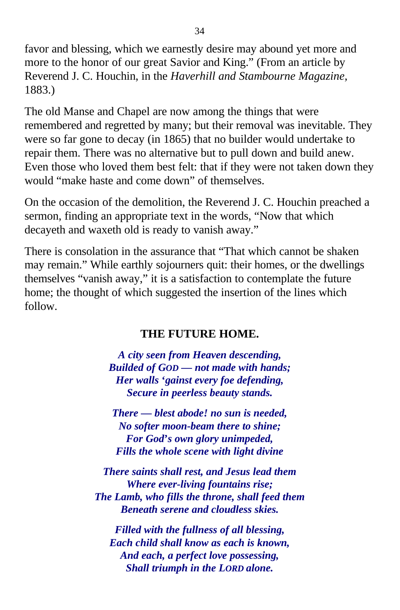favor and blessing, which we earnestly desire may abound yet more and more to the honor of our great Savior and King." (From an article by Reverend J. C. Houchin, in the *Haverhill and Stambourne Magazine,* 1883.)

The old Manse and Chapel are now among the things that were remembered and regretted by many; but their removal was inevitable. They were so far gone to decay (in 1865) that no builder would undertake to repair them. There was no alternative but to pull down and build anew. Even those who loved them best felt: that if they were not taken down they would "make haste and come down" of themselves.

On the occasion of the demolition, the Reverend J. C. Houchin preached a sermon, finding an appropriate text in the words, "Now that which decayeth and waxeth old is ready to vanish away."

There is consolation in the assurance that "That which cannot be shaken may remain." While earthly sojourners quit: their homes, or the dwellings themselves "vanish away," it is a satisfaction to contemplate the future home; the thought of which suggested the insertion of the lines which follow.

### **THE FUTURE HOME.**

*A city seen from Heaven descending, Builded of GOD — not made with hands; Her walls* **'***gainst every foe defending, Secure in peerless beauty stands.*

*There — blest abode! no sun is needed, No softer moon-beam there to shine; For God***'***s own glory unimpeded, Fills the whole scene with light divine*

*There saints shall rest, and Jesus lead them Where ever-living fountains rise; The Lamb, who fills the throne, shall feed them Beneath serene and cloudless skies.*

*Filled with the fullness of all blessing, Each child shall know as each is known, And each, a perfect love possessing, Shall triumph in the LORD alone.*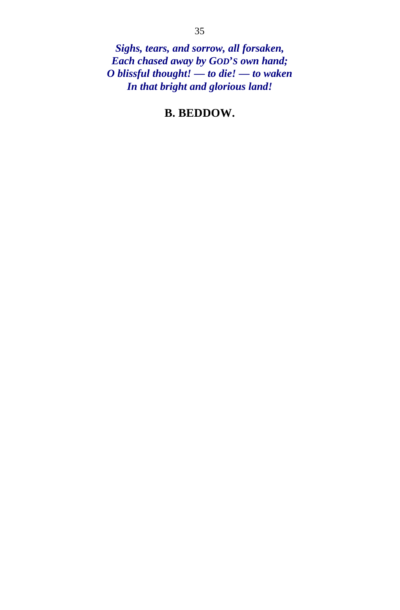*Sighs, tears, and sorrow, all forsaken, Each chased away by GOD***'***S own hand; O blissful thought! — to die! — to waken In that bright and glorious land!*

### **B. BEDDOW.**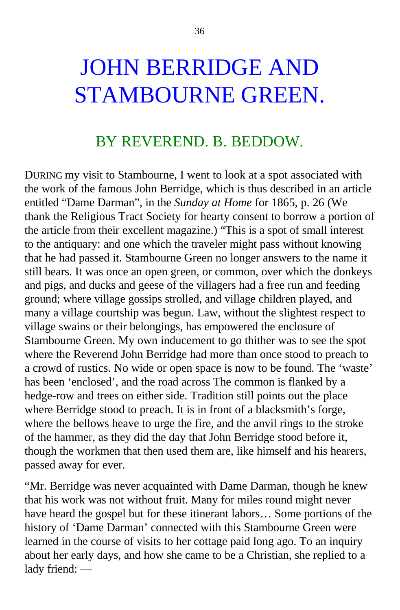## JOHN BERRIDGE AND STAMBOURNE GREEN.

## BY REVEREND. B. BEDDOW.

DURING my visit to Stambourne, I went to look at a spot associated with the work of the famous John Berridge, which is thus described in an article entitled "Dame Darman", in the *Sunday at Home* for 1865, p. 26 (We thank the Religious Tract Society for hearty consent to borrow a portion of the article from their excellent magazine.) "This is a spot of small interest to the antiquary: and one which the traveler might pass without knowing that he had passed it. Stambourne Green no longer answers to the name it still bears. It was once an open green, or common, over which the donkeys and pigs, and ducks and geese of the villagers had a free run and feeding ground; where village gossips strolled, and village children played, and many a village courtship was begun. Law, without the slightest respect to village swains or their belongings, has empowered the enclosure of Stambourne Green. My own inducement to go thither was to see the spot where the Reverend John Berridge had more than once stood to preach to a crowd of rustics. No wide or open space is now to be found. The 'waste' has been 'enclosed', and the road across The common is flanked by a hedge-row and trees on either side. Tradition still points out the place where Berridge stood to preach. It is in front of a blacksmith's forge, where the bellows heave to urge the fire, and the anvil rings to the stroke of the hammer, as they did the day that John Berridge stood before it, though the workmen that then used them are, like himself and his hearers, passed away for ever.

"Mr. Berridge was never acquainted with Dame Darman, though he knew that his work was not without fruit. Many for miles round might never have heard the gospel but for these itinerant labors… Some portions of the history of 'Dame Darman' connected with this Stambourne Green were learned in the course of visits to her cottage paid long ago. To an inquiry about her early days, and how she came to be a Christian, she replied to a lady friend: —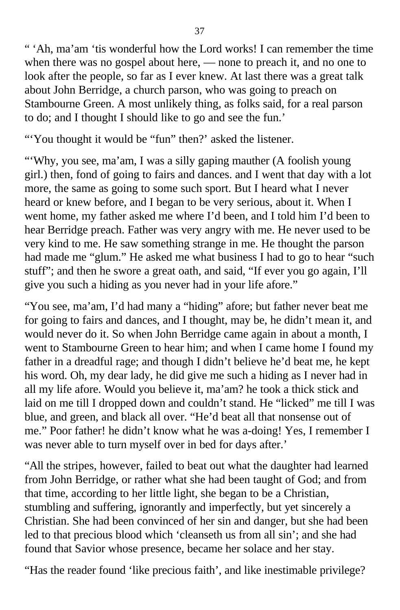" 'Ah, ma'am 'tis wonderful how the Lord works! I can remember the time when there was no gospel about here, — none to preach it, and no one to look after the people, so far as I ever knew. At last there was a great talk about John Berridge, a church parson, who was going to preach on Stambourne Green. A most unlikely thing, as folks said, for a real parson to do; and I thought I should like to go and see the fun.'

"You thought it would be "fun" then?' asked the listener.

"Why, you see, ma'am, I was a silly gaping mauther (A foolish young girl.) then, fond of going to fairs and dances. and I went that day with a lot more, the same as going to some such sport. But I heard what I never heard or knew before, and I began to be very serious, about it. When I went home, my father asked me where I'd been, and I told him I'd been to hear Berridge preach. Father was very angry with me. He never used to be very kind to me. He saw something strange in me. He thought the parson had made me "glum." He asked me what business I had to go to hear "such stuff"; and then he swore a great oath, and said, "If ever you go again, I'll give you such a hiding as you never had in your life afore."

"You see, ma'am, I'd had many a "hiding" afore; but father never beat me for going to fairs and dances, and I thought, may be, he didn't mean it, and would never do it. So when John Berridge came again in about a month, I went to Stambourne Green to hear him; and when I came home I found my father in a dreadful rage; and though I didn't believe he'd beat me, he kept his word. Oh, my dear lady, he did give me such a hiding as I never had in all my life afore. Would you believe it, ma'am? he took a thick stick and laid on me till I dropped down and couldn't stand. He "licked" me till I was blue, and green, and black all over. "He'd beat all that nonsense out of me." Poor father! he didn't know what he was a-doing! Yes, I remember I was never able to turn myself over in bed for days after.'

"All the stripes, however, failed to beat out what the daughter had learned from John Berridge, or rather what she had been taught of God; and from that time, according to her little light, she began to be a Christian, stumbling and suffering, ignorantly and imperfectly, but yet sincerely a Christian. She had been convinced of her sin and danger, but she had been led to that precious blood which 'cleanseth us from all sin'; and she had found that Savior whose presence, became her solace and her stay.

"Has the reader found 'like precious faith', and like inestimable privilege?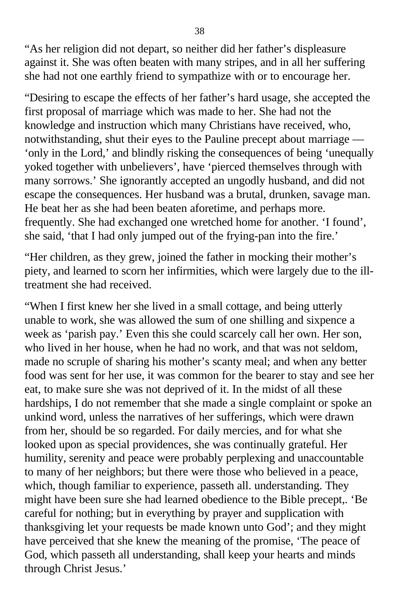"As her religion did not depart, so neither did her father's displeasure against it. She was often beaten with many stripes, and in all her suffering she had not one earthly friend to sympathize with or to encourage her.

"Desiring to escape the effects of her father's hard usage, she accepted the first proposal of marriage which was made to her. She had not the knowledge and instruction which many Christians have received, who, notwithstanding, shut their eyes to the Pauline precept about marriage — 'only in the Lord,' and blindly risking the consequences of being 'unequally yoked together with unbelievers', have 'pierced themselves through with many sorrows.' She ignorantly accepted an ungodly husband, and did not escape the consequences. Her husband was a brutal, drunken, savage man. He beat her as she had been beaten aforetime, and perhaps more. frequently. She had exchanged one wretched home for another. 'I found', she said, 'that I had only jumped out of the frying-pan into the fire.'

"Her children, as they grew, joined the father in mocking their mother's piety, and learned to scorn her infirmities, which were largely due to the illtreatment she had received.

"When I first knew her she lived in a small cottage, and being utterly unable to work, she was allowed the sum of one shilling and sixpence a week as 'parish pay.' Even this she could scarcely call her own. Her son, who lived in her house, when he had no work, and that was not seldom, made no scruple of sharing his mother's scanty meal; and when any better food was sent for her use, it was common for the bearer to stay and see her eat, to make sure she was not deprived of it. In the midst of all these hardships, I do not remember that she made a single complaint or spoke an unkind word, unless the narratives of her sufferings, which were drawn from her, should be so regarded. For daily mercies, and for what she looked upon as special providences, she was continually grateful. Her humility, serenity and peace were probably perplexing and unaccountable to many of her neighbors; but there were those who believed in a peace, which, though familiar to experience, passeth all. understanding. They might have been sure she had learned obedience to the Bible precept,. 'Be careful for nothing; but in everything by prayer and supplication with thanksgiving let your requests be made known unto God'; and they might have perceived that she knew the meaning of the promise, 'The peace of God, which passeth all understanding, shall keep your hearts and minds through Christ Jesus.'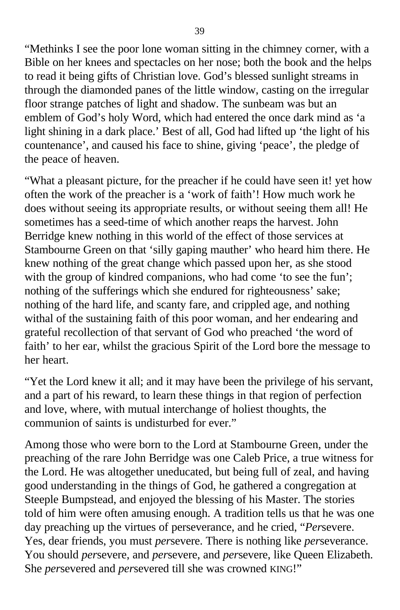"Methinks I see the poor lone woman sitting in the chimney corner, with a Bible on her knees and spectacles on her nose; both the book and the helps to read it being gifts of Christian love. God's blessed sunlight streams in through the diamonded panes of the little window, casting on the irregular floor strange patches of light and shadow. The sunbeam was but an emblem of God's holy Word, which had entered the once dark mind as 'a light shining in a dark place.' Best of all, God had lifted up 'the light of his countenance', and caused his face to shine, giving 'peace', the pledge of the peace of heaven.

"What a pleasant picture, for the preacher if he could have seen it! yet how often the work of the preacher is a 'work of faith'! How much work he does without seeing its appropriate results, or without seeing them all! He sometimes has a seed-time of which another reaps the harvest. John Berridge knew nothing in this world of the effect of those services at Stambourne Green on that 'silly gaping mauther' who heard him there. He knew nothing of the great change which passed upon her, as she stood with the group of kindred companions, who had come 'to see the fun'; nothing of the sufferings which she endured for righteousness' sake; nothing of the hard life, and scanty fare, and crippled age, and nothing withal of the sustaining faith of this poor woman, and her endearing and grateful recollection of that servant of God who preached 'the word of faith' to her ear, whilst the gracious Spirit of the Lord bore the message to her heart.

"Yet the Lord knew it all; and it may have been the privilege of his servant, and a part of his reward, to learn these things in that region of perfection and love, where, with mutual interchange of holiest thoughts, the communion of saints is undisturbed for ever."

Among those who were born to the Lord at Stambourne Green, under the preaching of the rare John Berridge was one Caleb Price, a true witness for the Lord. He was altogether uneducated, but being full of zeal, and having good understanding in the things of God, he gathered a congregation at Steeple Bumpstead, and enjoyed the blessing of his Master. The stories told of him were often amusing enough. A tradition tells us that he was one day preaching up the virtues of perseverance, and he cried, "*Per*severe. Yes, dear friends, you must *per*severe. There is nothing like *per*severance. You should *per*severe, and *per*severe, and *per*severe, like Queen Elizabeth. She *per*severed and *per*severed till she was crowned KING!"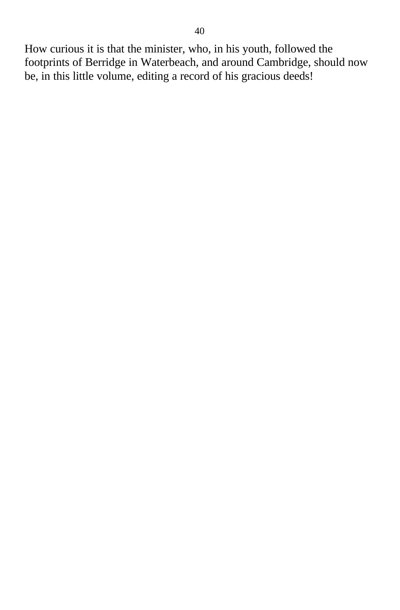How curious it is that the minister, who, in his youth, followed the footprints of Berridge in Waterbeach, and around Cambridge, should now be, in this little volume, editing a record of his gracious deeds!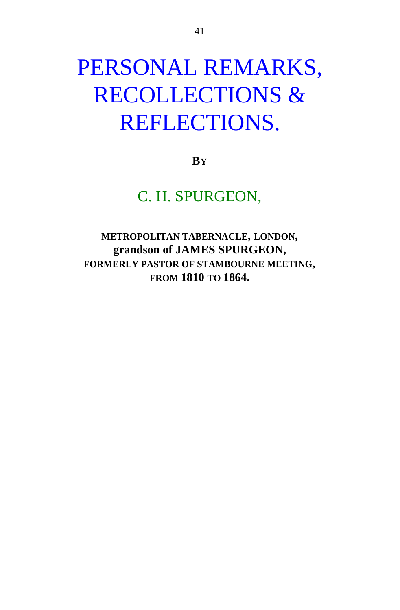## PERSONAL REMARKS, RECOLLECTIONS & REFLECTIONS.

**BY**

C. H. SPURGEON,

**METROPOLITAN TABERNACLE, LONDON, grandson of JAMES SPURGEON, FORMERLY PASTOR OF STAMBOURNE MEETING, FROM 1810 TO 1864.**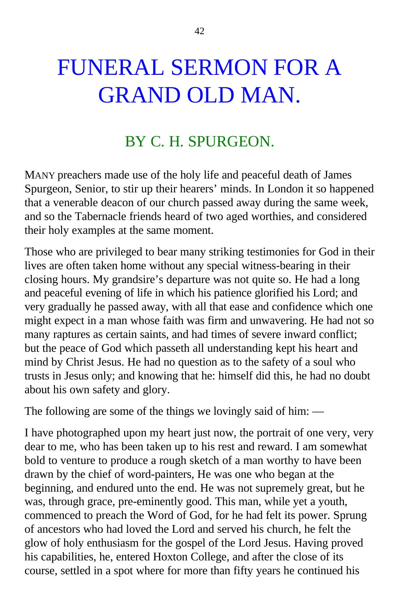# FUNERAL SERMON FOR A GRAND OLD MAN.

### BY C. H. SPURGEON.

MANY preachers made use of the holy life and peaceful death of James Spurgeon, Senior, to stir up their hearers' minds. In London it so happened that a venerable deacon of our church passed away during the same week, and so the Tabernacle friends heard of two aged worthies, and considered their holy examples at the same moment.

Those who are privileged to bear many striking testimonies for God in their lives are often taken home without any special witness-bearing in their closing hours. My grandsire's departure was not quite so. He had a long and peaceful evening of life in which his patience glorified his Lord; and very gradually he passed away, with all that ease and confidence which one might expect in a man whose faith was firm and unwavering. He had not so many raptures as certain saints, and had times of severe inward conflict; but the peace of God which passeth all understanding kept his heart and mind by Christ Jesus. He had no question as to the safety of a soul who trusts in Jesus only; and knowing that he: himself did this, he had no doubt about his own safety and glory.

The following are some of the things we lovingly said of him: —

I have photographed upon my heart just now, the portrait of one very, very dear to me, who has been taken up to his rest and reward. I am somewhat bold to venture to produce a rough sketch of a man worthy to have been drawn by the chief of word-painters, He was one who began at the beginning, and endured unto the end. He was not supremely great, but he was, through grace, pre-eminently good. This man, while yet a youth, commenced to preach the Word of God, for he had felt its power. Sprung of ancestors who had loved the Lord and served his church, he felt the glow of holy enthusiasm for the gospel of the Lord Jesus. Having proved his capabilities, he, entered Hoxton College, and after the close of its course, settled in a spot where for more than fifty years he continued his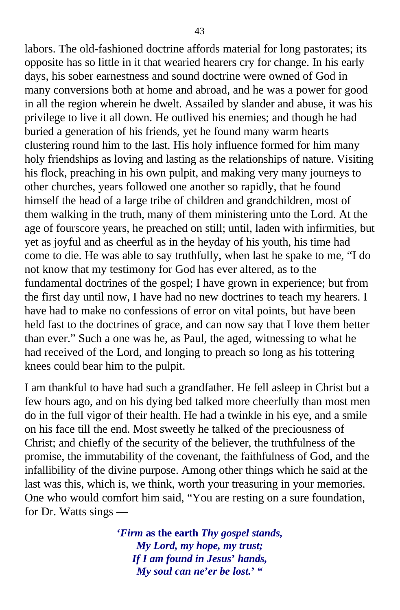labors. The old-fashioned doctrine affords material for long pastorates; its opposite has so little in it that wearied hearers cry for change. In his early days, his sober earnestness and sound doctrine were owned of God in many conversions both at home and abroad, and he was a power for good in all the region wherein he dwelt. Assailed by slander and abuse, it was his privilege to live it all down. He outlived his enemies; and though he had buried a generation of his friends, yet he found many warm hearts clustering round him to the last. His holy influence formed for him many holy friendships as loving and lasting as the relationships of nature. Visiting his flock, preaching in his own pulpit, and making very many journeys to other churches, years followed one another so rapidly, that he found himself the head of a large tribe of children and grandchildren, most of them walking in the truth, many of them ministering unto the Lord. At the age of fourscore years, he preached on still; until, laden with infirmities, but yet as joyful and as cheerful as in the heyday of his youth, his time had come to die. He was able to say truthfully, when last he spake to me, "I do not know that my testimony for God has ever altered, as to the fundamental doctrines of the gospel; I have grown in experience; but from the first day until now, I have had no new doctrines to teach my hearers. I have had to make no confessions of error on vital points, but have been held fast to the doctrines of grace, and can now say that I love them better than ever." Such a one was he, as Paul, the aged, witnessing to what he had received of the Lord, and longing to preach so long as his tottering knees could bear him to the pulpit.

I am thankful to have had such a grandfather. He fell asleep in Christ but a few hours ago, and on his dying bed talked more cheerfully than most men do in the full vigor of their health. He had a twinkle in his eye, and a smile on his face till the end. Most sweetly he talked of the preciousness of Christ; and chiefly of the security of the believer, the truthfulness of the promise, the immutability of the covenant, the faithfulness of God, and the infallibility of the divine purpose. Among other things which he said at the last was this, which is, we think, worth your treasuring in your memories. One who would comfort him said, "You are resting on a sure foundation, for Dr. Watts sings —

> **'***Firm* **as the earth** *Thy gospel stands, My Lord, my hope, my trust; If I am found in Jesus***'** *hands, My soul can ne***'***er be lost.***' "**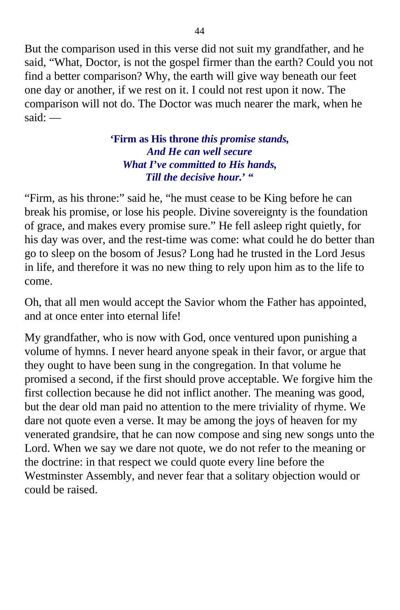But the comparison used in this verse did not suit my grandfather, and he said, "What, Doctor, is not the gospel firmer than the earth? Could you not find a better comparison? Why, the earth will give way beneath our feet one day or another, if we rest on it. I could not rest upon it now. The comparison will not do. The Doctor was much nearer the mark, when he  $s$ aid $\cdot$  —

#### **'Firm as His throne** *this promise stands, And He can well secure What I***'***ve committed to His hands, Till the decisive hour.***' "**

"Firm, as his throne:" said he, "he must cease to be King before he can break his promise, or lose his people. Divine sovereignty is the foundation of grace, and makes every promise sure." He fell asleep right quietly, for his day was over, and the rest-time was come: what could he do better than go to sleep on the bosom of Jesus? Long had he trusted in the Lord Jesus in life, and therefore it was no new thing to rely upon him as to the life to come.

Oh, that all men would accept the Savior whom the Father has appointed, and at once enter into eternal life!

My grandfather, who is now with God, once ventured upon punishing a volume of hymns. I never heard anyone speak in their favor, or argue that they ought to have been sung in the congregation. In that volume he promised a second, if the first should prove acceptable. We forgive him the first collection because he did not inflict another. The meaning was good, but the dear old man paid no attention to the mere triviality of rhyme. We dare not quote even a verse. It may be among the joys of heaven for my venerated grandsire, that he can now compose and sing new songs unto the Lord. When we say we dare not quote, we do not refer to the meaning or the doctrine: in that respect we could quote every line before the Westminster Assembly, and never fear that a solitary objection would or could be raised.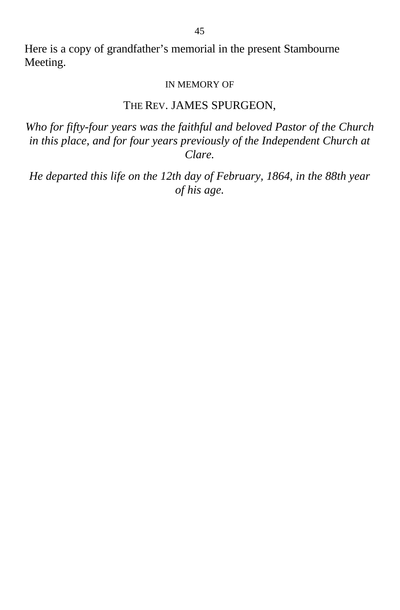Here is a copy of grandfather's memorial in the present Stambourne Meeting.

#### IN MEMORY OF

#### THE REV. JAMES SPURGEON,

*Who for fifty-four years was the faithful and beloved Pastor of the Church in this place, and for four years previously of the Independent Church at Clare.*

*He departed this life on the 12th day of February, 1864, in the 88th year of his age.*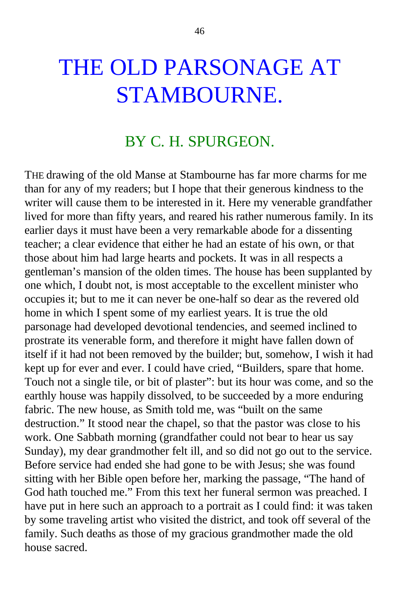## THE OLD PARSONAGE AT STAMBOURNE.

### BY C. H. SPURGEON.

THE drawing of the old Manse at Stambourne has far more charms for me than for any of my readers; but I hope that their generous kindness to the writer will cause them to be interested in it. Here my venerable grandfather lived for more than fifty years, and reared his rather numerous family. In its earlier days it must have been a very remarkable abode for a dissenting teacher; a clear evidence that either he had an estate of his own, or that those about him had large hearts and pockets. It was in all respects a gentleman's mansion of the olden times. The house has been supplanted by one which, I doubt not, is most acceptable to the excellent minister who occupies it; but to me it can never be one-half so dear as the revered old home in which I spent some of my earliest years. It is true the old parsonage had developed devotional tendencies, and seemed inclined to prostrate its venerable form, and therefore it might have fallen down of itself if it had not been removed by the builder; but, somehow, I wish it had kept up for ever and ever. I could have cried, "Builders, spare that home. Touch not a single tile, or bit of plaster": but its hour was come, and so the earthly house was happily dissolved, to be succeeded by a more enduring fabric. The new house, as Smith told me, was "built on the same destruction." It stood near the chapel, so that the pastor was close to his work. One Sabbath morning (grandfather could not bear to hear us say Sunday), my dear grandmother felt ill, and so did not go out to the service. Before service had ended she had gone to be with Jesus; she was found sitting with her Bible open before her, marking the passage, "The hand of God hath touched me." From this text her funeral sermon was preached. I have put in here such an approach to a portrait as I could find: it was taken by some traveling artist who visited the district, and took off several of the family. Such deaths as those of my gracious grandmother made the old house sacred.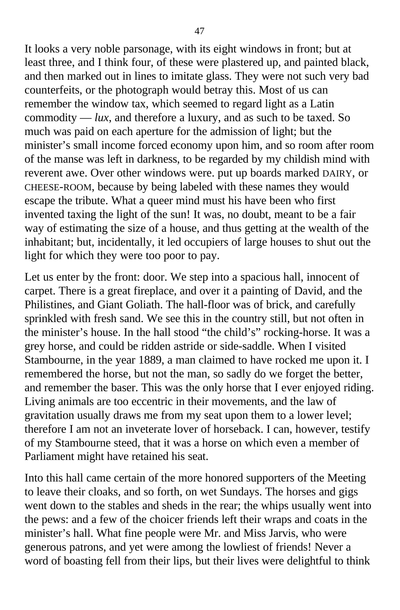It looks a very noble parsonage, with its eight windows in front; but at least three, and I think four, of these were plastered up, and painted black, and then marked out in lines to imitate glass. They were not such very bad counterfeits, or the photograph would betray this. Most of us can remember the window tax, which seemed to regard light as a Latin commodity — *lux*, and therefore a luxury, and as such to be taxed. So much was paid on each aperture for the admission of light; but the minister's small income forced economy upon him, and so room after room of the manse was left in darkness, to be regarded by my childish mind with reverent awe. Over other windows were. put up boards marked DAIRY, or CHEESE-ROOM, because by being labeled with these names they would escape the tribute. What a queer mind must his have been who first invented taxing the light of the sun! It was, no doubt, meant to be a fair way of estimating the size of a house, and thus getting at the wealth of the inhabitant; but, incidentally, it led occupiers of large houses to shut out the light for which they were too poor to pay.

Let us enter by the front: door. We step into a spacious hall, innocent of carpet. There is a great fireplace, and over it a painting of David, and the Philistines, and Giant Goliath. The hall-floor was of brick, and carefully sprinkled with fresh sand. We see this in the country still, but not often in the minister's house. In the hall stood "the child's" rocking-horse. It was a grey horse, and could be ridden astride or side-saddle. When I visited Stambourne, in the year 1889, a man claimed to have rocked me upon it. I remembered the horse, but not the man, so sadly do we forget the better, and remember the baser. This was the only horse that I ever enjoyed riding. Living animals are too eccentric in their movements, and the law of gravitation usually draws me from my seat upon them to a lower level; therefore I am not an inveterate lover of horseback. I can, however, testify of my Stambourne steed, that it was a horse on which even a member of Parliament might have retained his seat.

Into this hall came certain of the more honored supporters of the Meeting to leave their cloaks, and so forth, on wet Sundays. The horses and gigs went down to the stables and sheds in the rear; the whips usually went into the pews: and a few of the choicer friends left their wraps and coats in the minister's hall. What fine people were Mr. and Miss Jarvis, who were generous patrons, and yet were among the lowliest of friends! Never a word of boasting fell from their lips, but their lives were delightful to think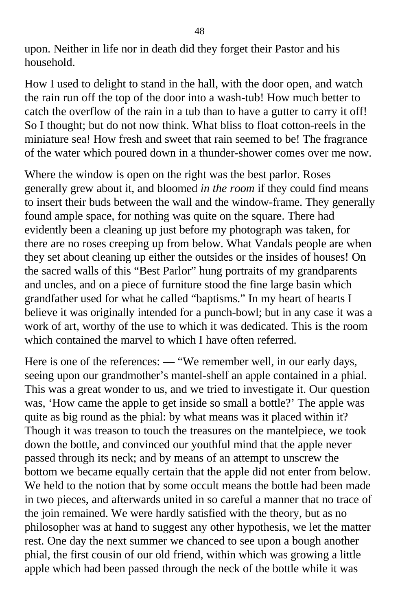upon. Neither in life nor in death did they forget their Pastor and his household.

How I used to delight to stand in the hall, with the door open, and watch the rain run off the top of the door into a wash-tub! How much better to catch the overflow of the rain in a tub than to have a gutter to carry it off! So I thought; but do not now think. What bliss to float cotton-reels in the miniature sea! How fresh and sweet that rain seemed to be! The fragrance of the water which poured down in a thunder-shower comes over me now.

Where the window is open on the right was the best parlor. Roses generally grew about it, and bloomed *in the room* if they could find means to insert their buds between the wall and the window-frame. They generally found ample space, for nothing was quite on the square. There had evidently been a cleaning up just before my photograph was taken, for there are no roses creeping up from below. What Vandals people are when they set about cleaning up either the outsides or the insides of houses! On the sacred walls of this "Best Parlor" hung portraits of my grandparents and uncles, and on a piece of furniture stood the fine large basin which grandfather used for what he called "baptisms." In my heart of hearts I believe it was originally intended for a punch-bowl; but in any case it was a work of art, worthy of the use to which it was dedicated. This is the room which contained the marvel to which I have often referred.

Here is one of the references: — "We remember well, in our early days, seeing upon our grandmother's mantel-shelf an apple contained in a phial. This was a great wonder to us, and we tried to investigate it. Our question was, 'How came the apple to get inside so small a bottle?' The apple was quite as big round as the phial: by what means was it placed within it? Though it was treason to touch the treasures on the mantelpiece, we took down the bottle, and convinced our youthful mind that the apple never passed through its neck; and by means of an attempt to unscrew the bottom we became equally certain that the apple did not enter from below. We held to the notion that by some occult means the bottle had been made in two pieces, and afterwards united in so careful a manner that no trace of the join remained. We were hardly satisfied with the theory, but as no philosopher was at hand to suggest any other hypothesis, we let the matter rest. One day the next summer we chanced to see upon a bough another phial, the first cousin of our old friend, within which was growing a little apple which had been passed through the neck of the bottle while it was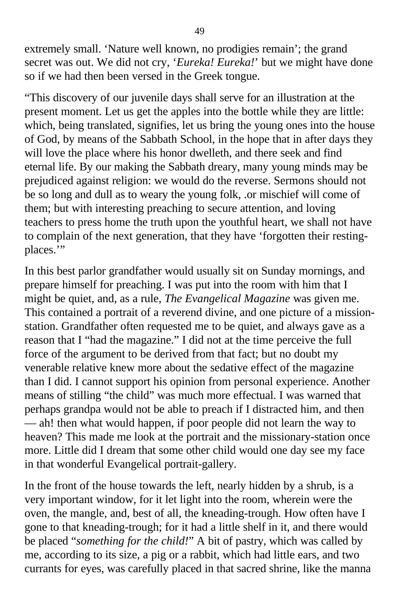extremely small. 'Nature well known, no prodigies remain'; the grand secret was out. We did not cry, '*Eureka! Eureka!*' but we might have done so if we had then been versed in the Greek tongue.

"This discovery of our juvenile days shall serve for an illustration at the present moment. Let us get the apples into the bottle while they are little: which, being translated, signifies, let us bring the young ones into the house of God, by means of the Sabbath School, in the hope that in after days they will love the place where his honor dwelleth, and there seek and find eternal life. By our making the Sabbath dreary, many young minds may be prejudiced against religion: we would do the reverse. Sermons should not be so long and dull as to weary the young folk, .or mischief will come of them; but with interesting preaching to secure attention, and loving teachers to press home the truth upon the youthful heart, we shall not have to complain of the next generation, that they have 'forgotten their restingplaces.'"

In this best parlor grandfather would usually sit on Sunday mornings, and prepare himself for preaching. I was put into the room with him that I might be quiet, and, as a rule, *The Evangelical Magazine* was given me. This contained a portrait of a reverend divine, and one picture of a missionstation. Grandfather often requested me to be quiet, and always gave as a reason that I "had the magazine." I did not at the time perceive the full force of the argument to be derived from that fact; but no doubt my venerable relative knew more about the sedative effect of the magazine than I did. I cannot support his opinion from personal experience. Another means of stilling "the child" was much more effectual. I was warned that perhaps grandpa would not be able to preach if I distracted him, and then — ah! then what would happen, if poor people did not learn the way to heaven? This made me look at the portrait and the missionary-station once more. Little did I dream that some other child would one day see my face in that wonderful Evangelical portrait-gallery.

In the front of the house towards the left, nearly hidden by a shrub, is a very important window, for it let light into the room, wherein were the oven, the mangle, and, best of all, the kneading-trough. How often have I gone to that kneading-trough; for it had a little shelf in it, and there would be placed "*something for the child!*" A bit of pastry, which was called by me, according to its size, a pig or a rabbit, which had little ears, and two currants for eyes, was carefully placed in that sacred shrine, like the manna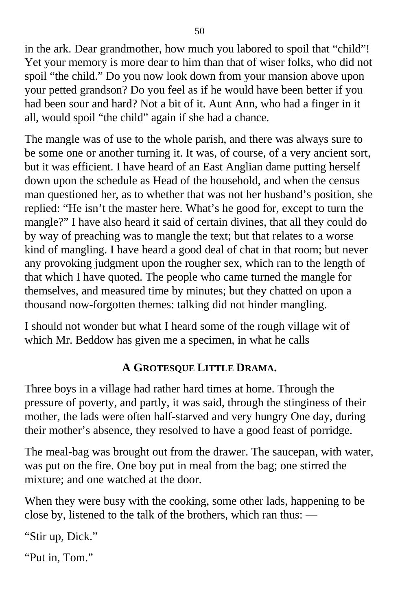in the ark. Dear grandmother, how much you labored to spoil that "child"! Yet your memory is more dear to him than that of wiser folks, who did not spoil "the child." Do you now look down from your mansion above upon your petted grandson? Do you feel as if he would have been better if you had been sour and hard? Not a bit of it. Aunt Ann, who had a finger in it all, would spoil "the child" again if she had a chance.

The mangle was of use to the whole parish, and there was always sure to be some one or another turning it. It was, of course, of a very ancient sort, but it was efficient. I have heard of an East Anglian dame putting herself down upon the schedule as Head of the household, and when the census man questioned her, as to whether that was not her husband's position, she replied: "He isn't the master here. What's he good for, except to turn the mangle?" I have also heard it said of certain divines, that all they could do by way of preaching was to mangle the text; but that relates to a worse kind of mangling. I have heard a good deal of chat in that room; but never any provoking judgment upon the rougher sex, which ran to the length of that which I have quoted. The people who came turned the mangle for themselves, and measured time by minutes; but they chatted on upon a thousand now-forgotten themes: talking did not hinder mangling.

I should not wonder but what I heard some of the rough village wit of which Mr. Beddow has given me a specimen, in what he calls

#### **A GROTESQUE LITTLE DRAMA.**

Three boys in a village had rather hard times at home. Through the pressure of poverty, and partly, it was said, through the stinginess of their mother, the lads were often half-starved and very hungry One day, during their mother's absence, they resolved to have a good feast of porridge.

The meal-bag was brought out from the drawer. The saucepan, with water, was put on the fire. One boy put in meal from the bag; one stirred the mixture; and one watched at the door.

When they were busy with the cooking, some other lads, happening to be close by, listened to the talk of the brothers, which ran thus: —

"Stir up, Dick."

"Put in, Tom."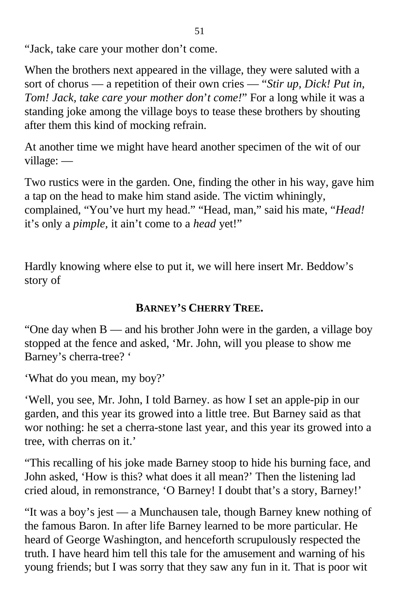"Jack, take care your mother don't come.

When the brothers next appeared in the village, they were saluted with a sort of chorus — a repetition of their own cries — "*Stir up, Dick! Put in, Tom! Jack, take care your mother don*'*t come!*" For a long while it was a standing joke among the village boys to tease these brothers by shouting after them this kind of mocking refrain.

At another time we might have heard another specimen of the wit of our village: —

Two rustics were in the garden. One, finding the other in his way, gave him a tap on the head to make him stand aside. The victim whiningly, complained, "You've hurt my head." "Head, man," said his mate, "*Head!* it's only a *pimple,* it ain't come to a *head* yet!"

Hardly knowing where else to put it, we will here insert Mr. Beddow's story of

#### **BARNEY'S CHERRY TREE.**

"One day when B — and his brother John were in the garden, a village boy stopped at the fence and asked, 'Mr. John, will you please to show me Barney's cherra-tree? '

'What do you mean, my boy?'

'Well, you see, Mr. John, I told Barney. as how I set an apple-pip in our garden, and this year its growed into a little tree. But Barney said as that wor nothing: he set a cherra-stone last year, and this year its growed into a tree, with cherras on it.'

"This recalling of his joke made Barney stoop to hide his burning face, and John asked, 'How is this? what does it all mean?' Then the listening lad cried aloud, in remonstrance, 'O Barney! I doubt that's a story, Barney!'

"It was a boy's jest — a Munchausen tale, though Barney knew nothing of the famous Baron. In after life Barney learned to be more particular. He heard of George Washington, and henceforth scrupulously respected the truth. I have heard him tell this tale for the amusement and warning of his young friends; but I was sorry that they saw any fun in it. That is poor wit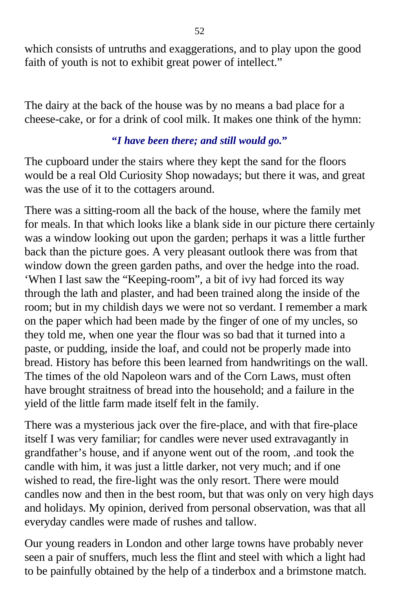which consists of untruths and exaggerations, and to play upon the good faith of youth is not to exhibit great power of intellect."

The dairy at the back of the house was by no means a bad place for a cheese-cake, or for a drink of cool milk. It makes one think of the hymn:

#### **"***I have been there; and still would go.***"**

The cupboard under the stairs where they kept the sand for the floors would be a real Old Curiosity Shop nowadays; but there it was, and great was the use of it to the cottagers around.

There was a sitting-room all the back of the house, where the family met for meals. In that which looks like a blank side in our picture there certainly was a window looking out upon the garden; perhaps it was a little further back than the picture goes. A very pleasant outlook there was from that window down the green garden paths, and over the hedge into the road. 'When I last saw the "Keeping-room", a bit of ivy had forced its way through the lath and plaster, and had been trained along the inside of the room; but in my childish days we were not so verdant. I remember a mark on the paper which had been made by the finger of one of my uncles, so they told me, when one year the flour was so bad that it turned into a paste, or pudding, inside the loaf, and could not be properly made into bread. History has before this been learned from handwritings on the wall. The times of the old Napoleon wars and of the Corn Laws, must often have brought straitness of bread into the household; and a failure in the yield of the little farm made itself felt in the family.

There was a mysterious jack over the fire-place, and with that fire-place itself I was very familiar; for candles were never used extravagantly in grandfather's house, and if anyone went out of the room, .and took the candle with him, it was just a little darker, not very much; and if one wished to read, the fire-light was the only resort. There were mould candles now and then in the best room, but that was only on very high days and holidays. My opinion, derived from personal observation, was that all everyday candles were made of rushes and tallow.

Our young readers in London and other large towns have probably never seen a pair of snuffers, much less the flint and steel with which a light had to be painfully obtained by the help of a tinderbox and a brimstone match.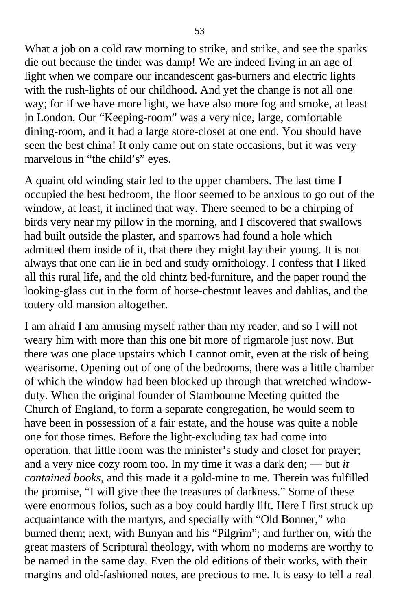What a job on a cold raw morning to strike, and strike, and see the sparks die out because the tinder was damp! We are indeed living in an age of light when we compare our incandescent gas-burners and electric lights with the rush-lights of our childhood. And yet the change is not all one way; for if we have more light, we have also more fog and smoke, at least in London. Our "Keeping-room" was a very nice, large, comfortable dining-room, and it had a large store-closet at one end. You should have seen the best china! It only came out on state occasions, but it was very marvelous in "the child's" eyes.

A quaint old winding stair led to the upper chambers. The last time I occupied the best bedroom, the floor seemed to be anxious to go out of the window, at least, it inclined that way. There seemed to be a chirping of birds very near my pillow in the morning, and I discovered that swallows had built outside the plaster, and sparrows had found a hole which admitted them inside of it, that there they might lay their young. It is not always that one can lie in bed and study ornithology. I confess that I liked all this rural life, and the old chintz bed-furniture, and the paper round the looking-glass cut in the form of horse-chestnut leaves and dahlias, and the tottery old mansion altogether.

I am afraid I am amusing myself rather than my reader, and so I will not weary him with more than this one bit more of rigmarole just now. But there was one place upstairs which I cannot omit, even at the risk of being wearisome. Opening out of one of the bedrooms, there was a little chamber of which the window had been blocked up through that wretched windowduty. When the original founder of Stambourne Meeting quitted the Church of England, to form a separate congregation, he would seem to have been in possession of a fair estate, and the house was quite a noble one for those times. Before the light-excluding tax had come into operation, that little room was the minister's study and closet for prayer; and a very nice cozy room too. In my time it was a dark den; — but *it contained books*, and this made it a gold-mine to me. Therein was fulfilled the promise, "I will give thee the treasures of darkness." Some of these were enormous folios, such as a boy could hardly lift. Here I first struck up acquaintance with the martyrs, and specially with "Old Bonner," who burned them; next, with Bunyan and his "Pilgrim"; and further on, with the great masters of Scriptural theology, with whom no moderns are worthy to be named in the same day. Even the old editions of their works, with their margins and old-fashioned notes, are precious to me. It is easy to tell a real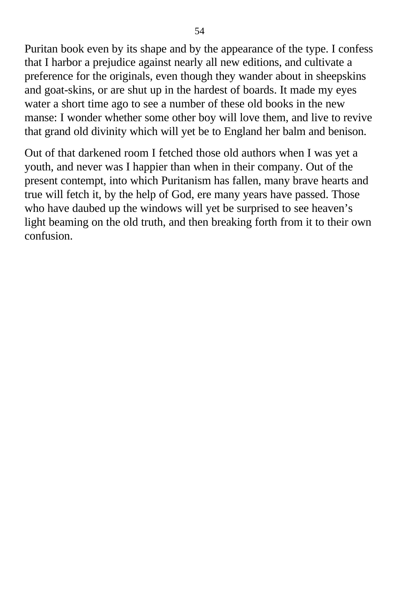Puritan book even by its shape and by the appearance of the type. I confess that I harbor a prejudice against nearly all new editions, and cultivate a preference for the originals, even though they wander about in sheepskins and goat-skins, or are shut up in the hardest of boards. It made my eyes water a short time ago to see a number of these old books in the new manse: I wonder whether some other boy will love them, and live to revive that grand old divinity which will yet be to England her balm and benison.

Out of that darkened room I fetched those old authors when I was yet a youth, and never was I happier than when in their company. Out of the present contempt, into which Puritanism has fallen, many brave hearts and true will fetch it, by the help of God, ere many years have passed. Those who have daubed up the windows will yet be surprised to see heaven's light beaming on the old truth, and then breaking forth from it to their own confusion.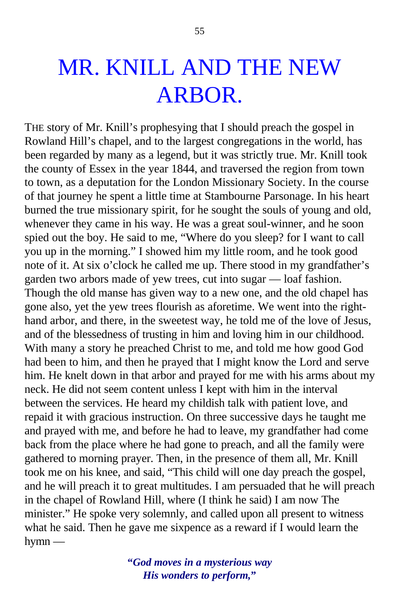THE story of Mr. Knill's prophesying that I should preach the gospel in Rowland Hill's chapel, and to the largest congregations in the world, has been regarded by many as a legend, but it was strictly true. Mr. Knill took the county of Essex in the year 1844, and traversed the region from town to town, as a deputation for the London Missionary Society. In the course of that journey he spent a little time at Stambourne Parsonage. In his heart burned the true missionary spirit, for he sought the souls of young and old, whenever they came in his way. He was a great soul-winner, and he soon spied out the boy. He said to me, "Where do you sleep? for I want to call you up in the morning." I showed him my little room, and he took good note of it. At six o'clock he called me up. There stood in my grandfather's garden two arbors made of yew trees, cut into sugar — loaf fashion. Though the old manse has given way to a new one, and the old chapel has gone also, yet the yew trees flourish as aforetime. We went into the righthand arbor, and there, in the sweetest way, he told me of the love of Jesus, and of the blessedness of trusting in him and loving him in our childhood. With many a story he preached Christ to me, and told me how good God had been to him, and then he prayed that I might know the Lord and serve him. He knelt down in that arbor and prayed for me with his arms about my neck. He did not seem content unless I kept with him in the interval between the services. He heard my childish talk with patient love, and repaid it with gracious instruction. On three successive days he taught me and prayed with me, and before he had to leave, my grandfather had come back from the place where he had gone to preach, and all the family were gathered to morning prayer. Then, in the presence of them all, Mr. Knill took me on his knee, and said, "This child will one day preach the gospel, and he will preach it to great multitudes. I am persuaded that he will preach in the chapel of Rowland Hill, where (I think he said) I am now The minister." He spoke very solemnly, and called upon all present to witness what he said. Then he gave me sixpence as a reward if I would learn the hymn —

> **"***God moves in a mysterious way His wonders to perform,***"**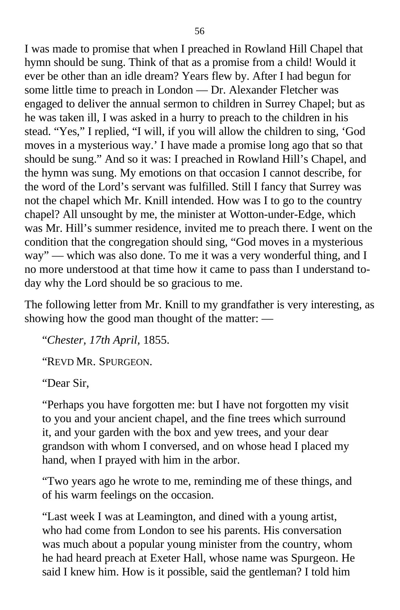I was made to promise that when I preached in Rowland Hill Chapel that hymn should be sung. Think of that as a promise from a child! Would it ever be other than an idle dream? Years flew by. After I had begun for some little time to preach in London — Dr. Alexander Fletcher was engaged to deliver the annual sermon to children in Surrey Chapel; but as he was taken ill, I was asked in a hurry to preach to the children in his stead. "Yes," I replied, "I will, if you will allow the children to sing, 'God moves in a mysterious way.' I have made a promise long ago that so that should be sung." And so it was: I preached in Rowland Hill's Chapel, and the hymn was sung. My emotions on that occasion I cannot describe, for the word of the Lord's servant was fulfilled. Still I fancy that Surrey was not the chapel which Mr. Knill intended. How was I to go to the country chapel? All unsought by me, the minister at Wotton-under-Edge, which was Mr. Hill's summer residence, invited me to preach there. I went on the condition that the congregation should sing, "God moves in a mysterious way" — which was also done. To me it was a very wonderful thing, and I no more understood at that time how it came to pass than I understand today why the Lord should be so gracious to me.

The following letter from Mr. Knill to my grandfather is very interesting, as showing how the good man thought of the matter: —

"*Chester, 17th April,* 1855.

"REVD MR. SPURGEON.

"Dear Sir,

"Perhaps you have forgotten me: but I have not forgotten my visit to you and your ancient chapel, and the fine trees which surround it, and your garden with the box and yew trees, and your dear grandson with whom I conversed, and on whose head I placed my hand, when I prayed with him in the arbor.

"Two years ago he wrote to me, reminding me of these things, and of his warm feelings on the occasion.

"Last week I was at Leamington, and dined with a young artist, who had come from London to see his parents. His conversation was much about a popular young minister from the country, whom he had heard preach at Exeter Hall, whose name was Spurgeon. He said I knew him. How is it possible, said the gentleman? I told him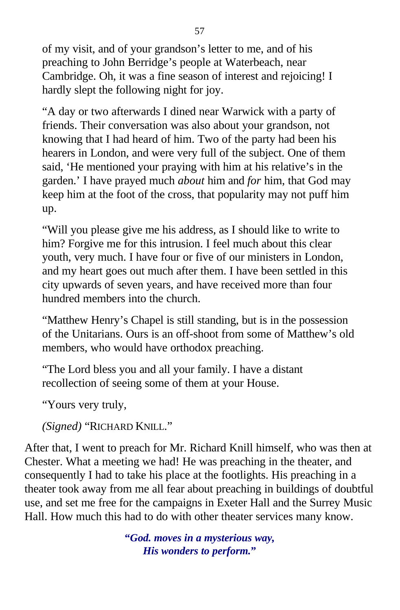of my visit, and of your grandson's letter to me, and of his preaching to John Berridge's people at Waterbeach, near Cambridge. Oh, it was a fine season of interest and rejoicing! I hardly slept the following night for joy.

"A day or two afterwards I dined near Warwick with a party of friends. Their conversation was also about your grandson, not knowing that I had heard of him. Two of the party had been his hearers in London, and were very full of the subject. One of them said, 'He mentioned your praying with him at his relative's in the garden.' I have prayed much *about* him and *for* him, that God may keep him at the foot of the cross, that popularity may not puff him up.

"Will you please give me his address, as I should like to write to him? Forgive me for this intrusion. I feel much about this clear youth, very much. I have four or five of our ministers in London, and my heart goes out much after them. I have been settled in this city upwards of seven years, and have received more than four hundred members into the church.

"Matthew Henry's Chapel is still standing, but is in the possession of the Unitarians. Ours is an off-shoot from some of Matthew's old members, who would have orthodox preaching.

"The Lord bless you and all your family. I have a distant recollection of seeing some of them at your House.

"Yours very truly,

*(Signed)* "RICHARD KNILL."

After that, I went to preach for Mr. Richard Knill himself, who was then at Chester. What a meeting we had! He was preaching in the theater, and consequently I had to take his place at the footlights. His preaching in a theater took away from me all fear about preaching in buildings of doubtful use, and set me free for the campaigns in Exeter Hall and the Surrey Music Hall. How much this had to do with other theater services many know.

> **"***God. moves in a mysterious way, His wonders to perform.***"**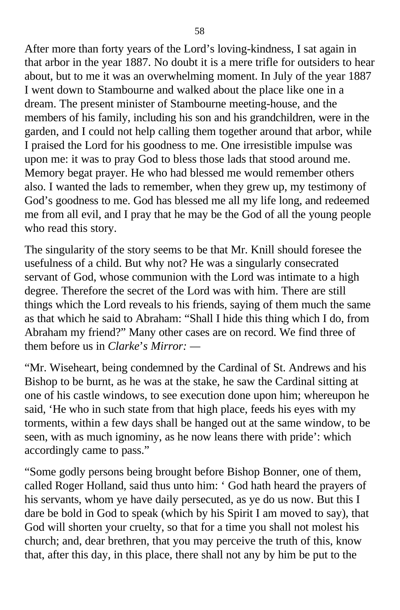After more than forty years of the Lord's loving-kindness, I sat again in that arbor in the year 1887. No doubt it is a mere trifle for outsiders to hear about, but to me it was an overwhelming moment. In July of the year 1887 I went down to Stambourne and walked about the place like one in a dream. The present minister of Stambourne meeting-house, and the members of his family, including his son and his grandchildren, were in the garden, and I could not help calling them together around that arbor, while I praised the Lord for his goodness to me. One irresistible impulse was upon me: it was to pray God to bless those lads that stood around me. Memory begat prayer. He who had blessed me would remember others also. I wanted the lads to remember, when they grew up, my testimony of God's goodness to me. God has blessed me all my life long, and redeemed me from all evil, and I pray that he may be the God of all the young people who read this story.

The singularity of the story seems to be that Mr. Knill should foresee the usefulness of a child. But why not? He was a singularly consecrated servant of God, whose communion with the Lord was intimate to a high degree. Therefore the secret of the Lord was with him. There are still things which the Lord reveals to his friends, saying of them much the same as that which he said to Abraham: "Shall I hide this thing which I do, from Abraham my friend?" Many other cases are on record. We find three of them before us in *Clarke*'*s Mirror: —*

"Mr. Wiseheart, being condemned by the Cardinal of St. Andrews and his Bishop to be burnt, as he was at the stake, he saw the Cardinal sitting at one of his castle windows, to see execution done upon him; whereupon he said, 'He who in such state from that high place, feeds his eyes with my torments, within a few days shall be hanged out at the same window, to be seen, with as much ignominy, as he now leans there with pride': which accordingly came to pass."

"Some godly persons being brought before Bishop Bonner, one of them, called Roger Holland, said thus unto him: ' God hath heard the prayers of his servants, whom ye have daily persecuted, as ye do us now. But this I dare be bold in God to speak (which by his Spirit I am moved to say), that God will shorten your cruelty, so that for a time you shall not molest his church; and, dear brethren, that you may perceive the truth of this, know that, after this day, in this place, there shall not any by him be put to the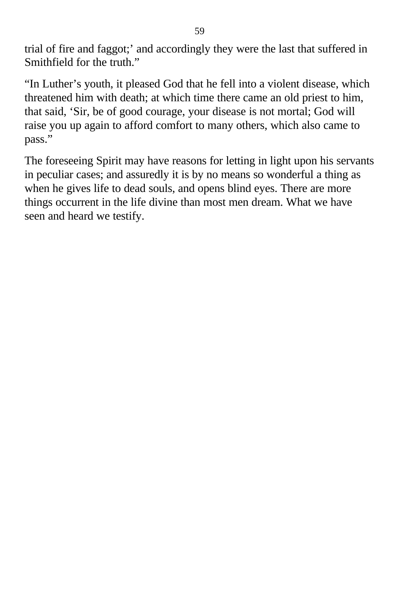trial of fire and faggot;' and accordingly they were the last that suffered in Smithfield for the truth."

"In Luther's youth, it pleased God that he fell into a violent disease, which threatened him with death; at which time there came an old priest to him, that said, 'Sir, be of good courage, your disease is not mortal; God will raise you up again to afford comfort to many others, which also came to pass."

The foreseeing Spirit may have reasons for letting in light upon his servants in peculiar cases; and assuredly it is by no means so wonderful a thing as when he gives life to dead souls, and opens blind eyes. There are more things occurrent in the life divine than most men dream. What we have seen and heard we testify.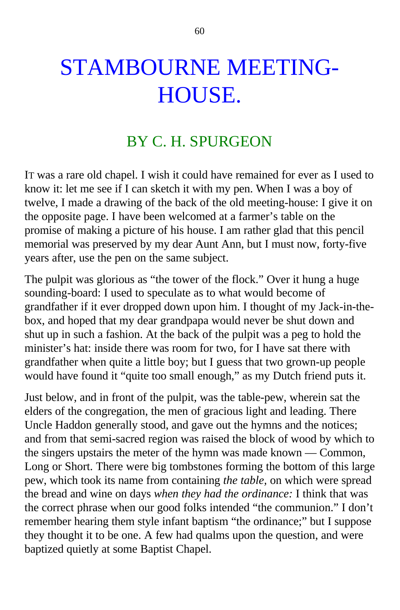## STAMBOURNE MEETING-HOUSE.

### BY C. H. SPURGEON

IT was a rare old chapel. I wish it could have remained for ever as I used to know it: let me see if I can sketch it with my pen. When I was a boy of twelve, I made a drawing of the back of the old meeting-house: I give it on the opposite page. I have been welcomed at a farmer's table on the promise of making a picture of his house. I am rather glad that this pencil memorial was preserved by my dear Aunt Ann, but I must now, forty-five years after, use the pen on the same subject.

The pulpit was glorious as "the tower of the flock." Over it hung a huge sounding-board: I used to speculate as to what would become of grandfather if it ever dropped down upon him. I thought of my Jack-in-thebox, and hoped that my dear grandpapa would never be shut down and shut up in such a fashion. At the back of the pulpit was a peg to hold the minister's hat: inside there was room for two, for I have sat there with grandfather when quite a little boy; but I guess that two grown-up people would have found it "quite too small enough," as my Dutch friend puts it.

Just below, and in front of the pulpit, was the table-pew, wherein sat the elders of the congregation, the men of gracious light and leading. There Uncle Haddon generally stood, and gave out the hymns and the notices; and from that semi-sacred region was raised the block of wood by which to the singers upstairs the meter of the hymn was made known — Common, Long or Short. There were big tombstones forming the bottom of this large pew, which took its name from containing *the table,* on which were spread the bread and wine on days *when they had the ordinance:* I think that was the correct phrase when our good folks intended "the communion." I don't remember hearing them style infant baptism "the ordinance;" but I suppose they thought it to be one. A few had qualms upon the question, and were baptized quietly at some Baptist Chapel.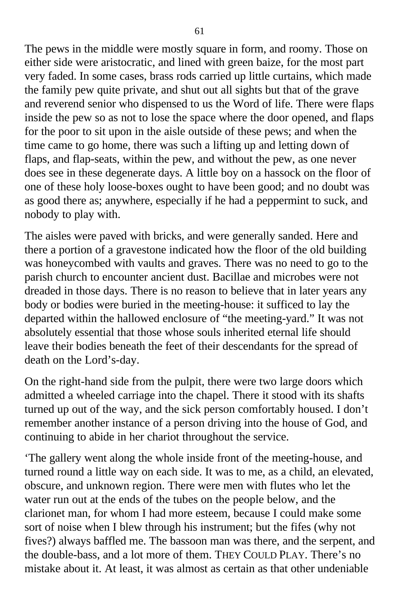The pews in the middle were mostly square in form, and roomy. Those on either side were aristocratic, and lined with green baize, for the most part very faded. In some cases, brass rods carried up little curtains, which made the family pew quite private, and shut out all sights but that of the grave and reverend senior who dispensed to us the Word of life. There were flaps inside the pew so as not to lose the space where the door opened, and flaps for the poor to sit upon in the aisle outside of these pews; and when the time came to go home, there was such a lifting up and letting down of flaps, and flap-seats, within the pew, and without the pew, as one never does see in these degenerate days. A little boy on a hassock on the floor of one of these holy loose-boxes ought to have been good; and no doubt was as good there as; anywhere, especially if he had a peppermint to suck, and nobody to play with.

The aisles were paved with bricks, and were generally sanded. Here and there a portion of a gravestone indicated how the floor of the old building was honeycombed with vaults and graves. There was no need to go to the parish church to encounter ancient dust. Bacillae and microbes were not dreaded in those days. There is no reason to believe that in later years any body or bodies were buried in the meeting-house: it sufficed to lay the departed within the hallowed enclosure of "the meeting-yard." It was not absolutely essential that those whose souls inherited eternal life should leave their bodies beneath the feet of their descendants for the spread of death on the Lord's-day.

On the right-hand side from the pulpit, there were two large doors which admitted a wheeled carriage into the chapel. There it stood with its shafts turned up out of the way, and the sick person comfortably housed. I don't remember another instance of a person driving into the house of God, and continuing to abide in her chariot throughout the service.

'The gallery went along the whole inside front of the meeting-house, and turned round a little way on each side. It was to me, as a child, an elevated, obscure, and unknown region. There were men with flutes who let the water run out at the ends of the tubes on the people below, and the clarionet man, for whom I had more esteem, because I could make some sort of noise when I blew through his instrument; but the fifes (why not fives?) always baffled me. The bassoon man was there, and the serpent, and the double-bass, and a lot more of them. THEY COULD PLAY. There's no mistake about it. At least, it was almost as certain as that other undeniable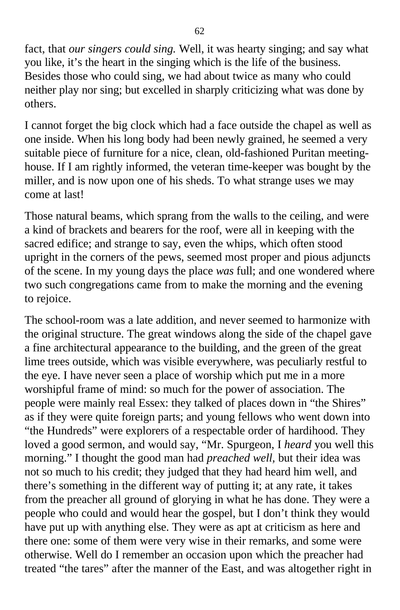fact, that *our singers could sing.* Well, it was hearty singing; and say what you like, it's the heart in the singing which is the life of the business. Besides those who could sing, we had about twice as many who could neither play nor sing; but excelled in sharply criticizing what was done by others.

I cannot forget the big clock which had a face outside the chapel as well as one inside. When his long body had been newly grained, he seemed a very suitable piece of furniture for a nice, clean, old-fashioned Puritan meetinghouse. If I am rightly informed, the veteran time-keeper was bought by the miller, and is now upon one of his sheds. To what strange uses we may come at last!

Those natural beams, which sprang from the walls to the ceiling, and were a kind of brackets and bearers for the roof, were all in keeping with the sacred edifice; and strange to say, even the whips, which often stood upright in the corners of the pews, seemed most proper and pious adjuncts of the scene. In my young days the place *was* full; and one wondered where two such congregations came from to make the morning and the evening to rejoice.

The school-room was a late addition, and never seemed to harmonize with the original structure. The great windows along the side of the chapel gave a fine architectural appearance to the building, and the green of the great lime trees outside, which was visible everywhere, was peculiarly restful to the eye. I have never seen a place of worship which put me in a more worshipful frame of mind: so much for the power of association. The people were mainly real Essex: they talked of places down in "the Shires" as if they were quite foreign parts; and young fellows who went down into "the Hundreds" were explorers of a respectable order of hardihood. They loved a good sermon, and would say, "Mr. Spurgeon, I *heard* you well this morning." I thought the good man had *preached well,* but their idea was not so much to his credit; they judged that they had heard him well, and there's something in the different way of putting it; at any rate, it takes from the preacher all ground of glorying in what he has done. They were a people who could and would hear the gospel, but I don't think they would have put up with anything else. They were as apt at criticism as here and there one: some of them were very wise in their remarks, and some were otherwise. Well do I remember an occasion upon which the preacher had treated "the tares" after the manner of the East, and was altogether right in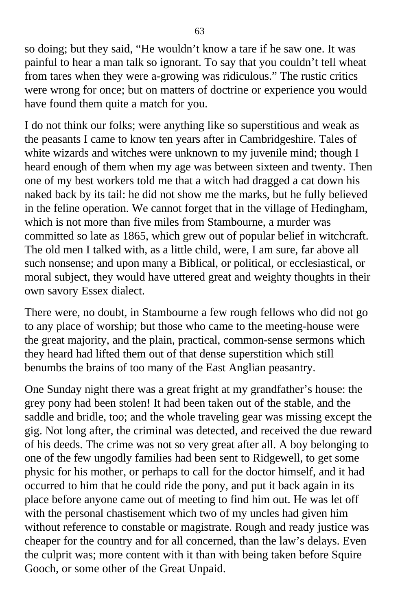so doing; but they said, "He wouldn't know a tare if he saw one. It was painful to hear a man talk so ignorant. To say that you couldn't tell wheat from tares when they were a-growing was ridiculous." The rustic critics were wrong for once; but on matters of doctrine or experience you would have found them quite a match for you.

I do not think our folks; were anything like so superstitious and weak as the peasants I came to know ten years after in Cambridgeshire. Tales of white wizards and witches were unknown to my juvenile mind; though I heard enough of them when my age was between sixteen and twenty. Then one of my best workers told me that a witch had dragged a cat down his naked back by its tail: he did not show me the marks, but he fully believed in the feline operation. We cannot forget that in the village of Hedingham, which is not more than five miles from Stambourne, a murder was committed so late as 1865, which grew out of popular belief in witchcraft. The old men I talked with, as a little child, were, I am sure, far above all such nonsense; and upon many a Biblical, or political, or ecclesiastical, or moral subject, they would have uttered great and weighty thoughts in their own savory Essex dialect.

There were, no doubt, in Stambourne a few rough fellows who did not go to any place of worship; but those who came to the meeting-house were the great majority, and the plain, practical, common-sense sermons which they heard had lifted them out of that dense superstition which still benumbs the brains of too many of the East Anglian peasantry.

One Sunday night there was a great fright at my grandfather's house: the grey pony had been stolen! It had been taken out of the stable, and the saddle and bridle, too; and the whole traveling gear was missing except the gig. Not long after, the criminal was detected, and received the due reward of his deeds. The crime was not so very great after all. A boy belonging to one of the few ungodly families had been sent to Ridgewell, to get some physic for his mother, or perhaps to call for the doctor himself, and it had occurred to him that he could ride the pony, and put it back again in its place before anyone came out of meeting to find him out. He was let off with the personal chastisement which two of my uncles had given him without reference to constable or magistrate. Rough and ready justice was cheaper for the country and for all concerned, than the law's delays. Even the culprit was; more content with it than with being taken before Squire Gooch, or some other of the Great Unpaid.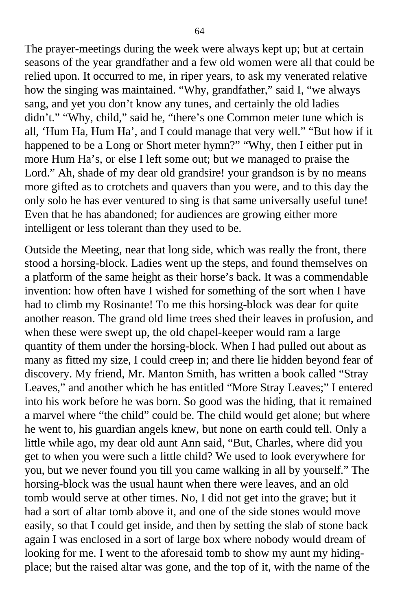The prayer-meetings during the week were always kept up; but at certain seasons of the year grandfather and a few old women were all that could be relied upon. It occurred to me, in riper years, to ask my venerated relative how the singing was maintained. "Why, grandfather," said I, "we always sang, and yet you don't know any tunes, and certainly the old ladies didn't." "Why, child," said he, "there's one Common meter tune which is all, 'Hum Ha, Hum Ha', and I could manage that very well." "But how if it happened to be a Long or Short meter hymn?" "Why, then I either put in more Hum Ha's, or else I left some out; but we managed to praise the Lord." Ah, shade of my dear old grandsire! your grandson is by no means more gifted as to crotchets and quavers than you were, and to this day the only solo he has ever ventured to sing is that same universally useful tune! Even that he has abandoned; for audiences are growing either more intelligent or less tolerant than they used to be.

Outside the Meeting, near that long side, which was really the front, there stood a horsing-block. Ladies went up the steps, and found themselves on a platform of the same height as their horse's back. It was a commendable invention: how often have I wished for something of the sort when I have had to climb my Rosinante! To me this horsing-block was dear for quite another reason. The grand old lime trees shed their leaves in profusion, and when these were swept up, the old chapel-keeper would ram a large quantity of them under the horsing-block. When I had pulled out about as many as fitted my size, I could creep in; and there lie hidden beyond fear of discovery. My friend, Mr. Manton Smith, has written a book called "Stray Leaves," and another which he has entitled "More Stray Leaves;" I entered into his work before he was born. So good was the hiding, that it remained a marvel where "the child" could be. The child would get alone; but where he went to, his guardian angels knew, but none on earth could tell. Only a little while ago, my dear old aunt Ann said, "But, Charles, where did you get to when you were such a little child? We used to look everywhere for you, but we never found you till you came walking in all by yourself." The horsing-block was the usual haunt when there were leaves, and an old tomb would serve at other times. No, I did not get into the grave; but it had a sort of altar tomb above it, and one of the side stones would move easily, so that I could get inside, and then by setting the slab of stone back again I was enclosed in a sort of large box where nobody would dream of looking for me. I went to the aforesaid tomb to show my aunt my hidingplace; but the raised altar was gone, and the top of it, with the name of the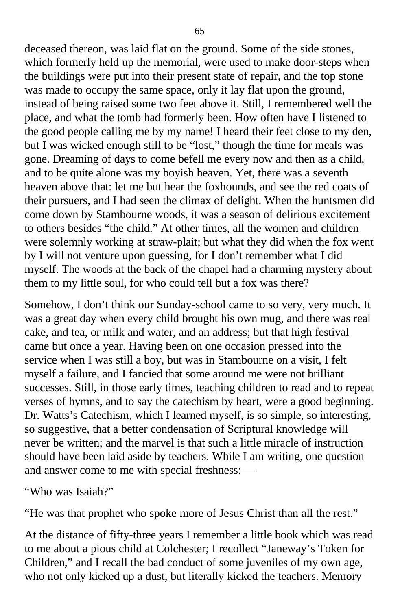deceased thereon, was laid flat on the ground. Some of the side stones, which formerly held up the memorial, were used to make door-steps when the buildings were put into their present state of repair, and the top stone was made to occupy the same space, only it lay flat upon the ground, instead of being raised some two feet above it. Still, I remembered well the place, and what the tomb had formerly been. How often have I listened to the good people calling me by my name! I heard their feet close to my den, but I was wicked enough still to be "lost," though the time for meals was gone. Dreaming of days to come befell me every now and then as a child, and to be quite alone was my boyish heaven. Yet, there was a seventh heaven above that: let me but hear the foxhounds, and see the red coats of their pursuers, and I had seen the climax of delight. When the huntsmen did come down by Stambourne woods, it was a season of delirious excitement to others besides "the child." At other times, all the women and children were solemnly working at straw-plait; but what they did when the fox went by I will not venture upon guessing, for I don't remember what I did myself. The woods at the back of the chapel had a charming mystery about them to my little soul, for who could tell but a fox was there?

Somehow, I don't think our Sunday-school came to so very, very much. It was a great day when every child brought his own mug, and there was real cake, and tea, or milk and water, and an address; but that high festival came but once a year. Having been on one occasion pressed into the service when I was still a boy, but was in Stambourne on a visit, I felt myself a failure, and I fancied that some around me were not brilliant successes. Still, in those early times, teaching children to read and to repeat verses of hymns, and to say the catechism by heart, were a good beginning. Dr. Watts's Catechism, which I learned myself, is so simple, so interesting, so suggestive, that a better condensation of Scriptural knowledge will never be written; and the marvel is that such a little miracle of instruction should have been laid aside by teachers. While I am writing, one question and answer come to me with special freshness: —

"Who was Isaiah?"

"He was that prophet who spoke more of Jesus Christ than all the rest."

At the distance of fifty-three years I remember a little book which was read to me about a pious child at Colchester; I recollect "Janeway's Token for Children," and I recall the bad conduct of some juveniles of my own age, who not only kicked up a dust, but literally kicked the teachers. Memory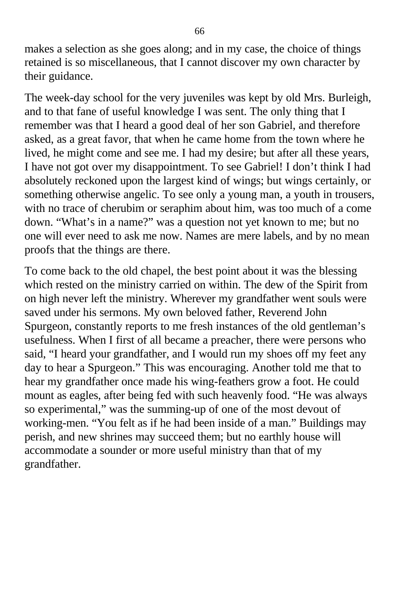makes a selection as she goes along; and in my case, the choice of things retained is so miscellaneous, that I cannot discover my own character by their guidance.

The week-day school for the very juveniles was kept by old Mrs. Burleigh, and to that fane of useful knowledge I was sent. The only thing that I remember was that I heard a good deal of her son Gabriel, and therefore asked, as a great favor, that when he came home from the town where he lived, he might come and see me. I had my desire; but after all these years, I have not got over my disappointment. To see Gabriel! I don't think I had absolutely reckoned upon the largest kind of wings; but wings certainly, or something otherwise angelic. To see only a young man, a youth in trousers, with no trace of cherubim or seraphim about him, was too much of a come down. "What's in a name?" was a question not yet known to me; but no one will ever need to ask me now. Names are mere labels, and by no mean proofs that the things are there.

To come back to the old chapel, the best point about it was the blessing which rested on the ministry carried on within. The dew of the Spirit from on high never left the ministry. Wherever my grandfather went souls were saved under his sermons. My own beloved father, Reverend John Spurgeon, constantly reports to me fresh instances of the old gentleman's usefulness. When I first of all became a preacher, there were persons who said, "I heard your grandfather, and I would run my shoes off my feet any day to hear a Spurgeon." This was encouraging. Another told me that to hear my grandfather once made his wing-feathers grow a foot. He could mount as eagles, after being fed with such heavenly food. "He was always so experimental," was the summing-up of one of the most devout of working-men. "You felt as if he had been inside of a man." Buildings may perish, and new shrines may succeed them; but no earthly house will accommodate a sounder or more useful ministry than that of my grandfather.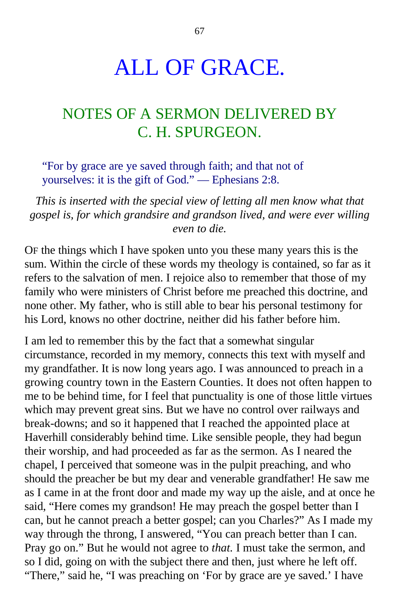## ALL OF GRACE.

## NOTES OF A SERMON DELIVERED BY C. H. SPURGEON.

"For by grace are ye saved through faith; and that not of yourselves: it is the gift of God." — Ephesians 2:8.

*This is inserted with the special view of letting all men know what that gospel is, for which grandsire and grandson lived, and were ever willing even to die.*

OF the things which I have spoken unto you these many years this is the sum. Within the circle of these words my theology is contained, so far as it refers to the salvation of men. I rejoice also to remember that those of my family who were ministers of Christ before me preached this doctrine, and none other. My father, who is still able to bear his personal testimony for his Lord, knows no other doctrine, neither did his father before him.

I am led to remember this by the fact that a somewhat singular circumstance, recorded in my memory, connects this text with myself and my grandfather. It is now long years ago. I was announced to preach in a growing country town in the Eastern Counties. It does not often happen to me to be behind time, for I feel that punctuality is one of those little virtues which may prevent great sins. But we have no control over railways and break-downs; and so it happened that I reached the appointed place at Haverhill considerably behind time. Like sensible people, they had begun their worship, and had proceeded as far as the sermon. As I neared the chapel, I perceived that someone was in the pulpit preaching, and who should the preacher be but my dear and venerable grandfather! He saw me as I came in at the front door and made my way up the aisle, and at once he said, "Here comes my grandson! He may preach the gospel better than I can, but he cannot preach a better gospel; can you Charles?" As I made my way through the throng, I answered, "You can preach better than I can. Pray go on." But he would not agree to *that.* I must take the sermon, and so I did, going on with the subject there and then, just where he left off. "There," said he, "I was preaching on 'For by grace are ye saved.' I have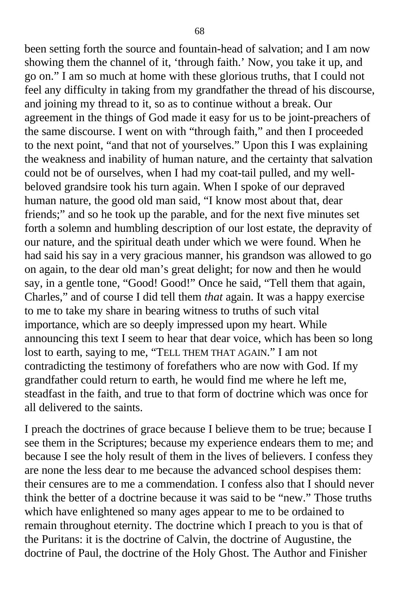been setting forth the source and fountain-head of salvation; and I am now showing them the channel of it, 'through faith.' Now, you take it up, and go on." I am so much at home with these glorious truths, that I could not feel any difficulty in taking from my grandfather the thread of his discourse, and joining my thread to it, so as to continue without a break. Our agreement in the things of God made it easy for us to be joint-preachers of the same discourse. I went on with "through faith," and then I proceeded to the next point, "and that not of yourselves." Upon this I was explaining the weakness and inability of human nature, and the certainty that salvation could not be of ourselves, when I had my coat-tail pulled, and my wellbeloved grandsire took his turn again. When I spoke of our depraved human nature, the good old man said, "I know most about that, dear friends;" and so he took up the parable, and for the next five minutes set forth a solemn and humbling description of our lost estate, the depravity of our nature, and the spiritual death under which we were found. When he had said his say in a very gracious manner, his grandson was allowed to go on again, to the dear old man's great delight; for now and then he would say, in a gentle tone, "Good! Good!" Once he said, "Tell them that again, Charles," and of course I did tell them *that* again. It was a happy exercise to me to take my share in bearing witness to truths of such vital importance, which are so deeply impressed upon my heart. While announcing this text I seem to hear that dear voice, which has been so long lost to earth, saying to me, "TELL THEM THAT AGAIN." I am not contradicting the testimony of forefathers who are now with God. If my grandfather could return to earth, he would find me where he left me, steadfast in the faith, and true to that form of doctrine which was once for all delivered to the saints.

I preach the doctrines of grace because I believe them to be true; because I see them in the Scriptures; because my experience endears them to me; and because I see the holy result of them in the lives of believers. I confess they are none the less dear to me because the advanced school despises them: their censures are to me a commendation. I confess also that I should never think the better of a doctrine because it was said to be "new." Those truths which have enlightened so many ages appear to me to be ordained to remain throughout eternity. The doctrine which I preach to you is that of the Puritans: it is the doctrine of Calvin, the doctrine of Augustine, the doctrine of Paul, the doctrine of the Holy Ghost. The Author and Finisher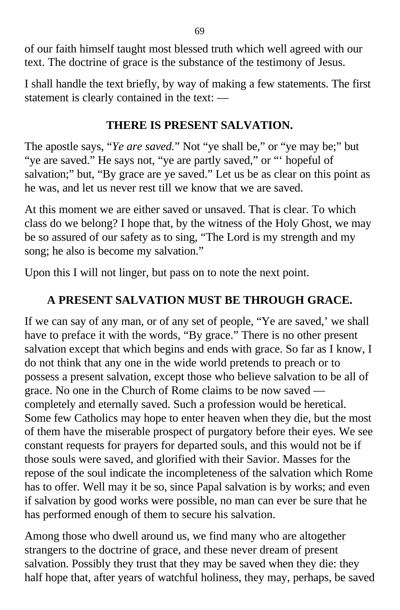of our faith himself taught most blessed truth which well agreed with our text. The doctrine of grace is the substance of the testimony of Jesus.

I shall handle the text briefly, by way of making a few statements. The first statement is clearly contained in the text: —

### **THERE IS PRESENT SALVATION.**

The apostle says, "*Ye are saved.*" Not "ye shall be," or "ye may be;" but "ye are saved." He says not, "ye are partly saved," or "" hopeful of salvation;" but, "By grace are ye saved." Let us be as clear on this point as he was, and let us never rest till we know that we are saved.

At this moment we are either saved or unsaved. That is clear. To which class do we belong? I hope that, by the witness of the Holy Ghost, we may be so assured of our safety as to sing, "The Lord is my strength and my song; he also is become my salvation."

Upon this I will not linger, but pass on to note the next point.

### **A PRESENT SALVATION MUST BE THROUGH GRACE.**

If we can say of any man, or of any set of people, "Ye are saved,' we shall have to preface it with the words, "By grace." There is no other present salvation except that which begins and ends with grace. So far as I know, I do not think that any one in the wide world pretends to preach or to possess a present salvation, except those who believe salvation to be all of grace. No one in the Church of Rome claims to be now saved completely and eternally saved. Such a profession would be heretical. Some few Catholics may hope to enter heaven when they die, but the most of them have the miserable prospect of purgatory before their eyes. We see constant requests for prayers for departed souls, and this would not be if those souls were saved, and glorified with their Savior. Masses for the repose of the soul indicate the incompleteness of the salvation which Rome has to offer. Well may it be so, since Papal salvation is by works; and even if salvation by good works were possible, no man can ever be sure that he has performed enough of them to secure his salvation.

Among those who dwell around us, we find many who are altogether strangers to the doctrine of grace, and these never dream of present salvation. Possibly they trust that they may be saved when they die: they half hope that, after years of watchful holiness, they may, perhaps, be saved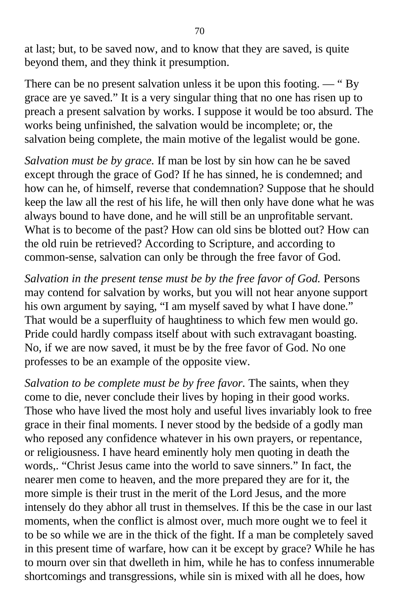at last; but, to be saved now, and to know that they are saved, is quite beyond them, and they think it presumption.

There can be no present salvation unless it be upon this footing. — " By grace are ye saved." It is a very singular thing that no one has risen up to preach a present salvation by works. I suppose it would be too absurd. The works being unfinished, the salvation would be incomplete; or, the salvation being complete, the main motive of the legalist would be gone.

*Salvation must be by grace.* If man be lost by sin how can he be saved except through the grace of God? If he has sinned, he is condemned; and how can he, of himself, reverse that condemnation? Suppose that he should keep the law all the rest of his life, he will then only have done what he was always bound to have done, and he will still be an unprofitable servant. What is to become of the past? How can old sins be blotted out? How can the old ruin be retrieved? According to Scripture, and according to common-sense, salvation can only be through the free favor of God.

*Salvation in the present tense must be by the free favor of God.* Persons may contend for salvation by works, but you will not hear anyone support his own argument by saying, "I am myself saved by what I have done." That would be a superfluity of haughtiness to which few men would go. Pride could hardly compass itself about with such extravagant boasting. No, if we are now saved, it must be by the free favor of God. No one professes to be an example of the opposite view.

*Salvation to be complete must be by free favor.* The saints, when they come to die, never conclude their lives by hoping in their good works. Those who have lived the most holy and useful lives invariably look to free grace in their final moments. I never stood by the bedside of a godly man who reposed any confidence whatever in his own prayers, or repentance, or religiousness. I have heard eminently holy men quoting in death the words,. "Christ Jesus came into the world to save sinners." In fact, the nearer men come to heaven, and the more prepared they are for it, the more simple is their trust in the merit of the Lord Jesus, and the more intensely do they abhor all trust in themselves. If this be the case in our last moments, when the conflict is almost over, much more ought we to feel it to be so while we are in the thick of the fight. If a man be completely saved in this present time of warfare, how can it be except by grace? While he has to mourn over sin that dwelleth in him, while he has to confess innumerable shortcomings and transgressions, while sin is mixed with all he does, how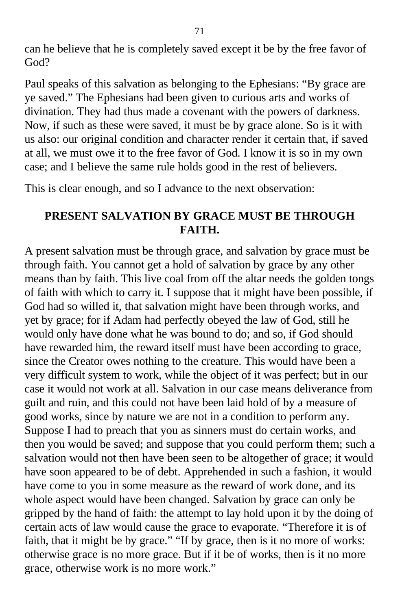can he believe that he is completely saved except it be by the free favor of God?

Paul speaks of this salvation as belonging to the Ephesians: "By grace are ye saved." The Ephesians had been given to curious arts and works of divination. They had thus made a covenant with the powers of darkness. Now, if such as these were saved, it must be by grace alone. So is it with us also: our original condition and character render it certain that, if saved at all, we must owe it to the free favor of God. I know it is so in my own case; and I believe the same rule holds good in the rest of believers.

This is clear enough, and so I advance to the next observation:

#### **PRESENT SALVATION BY GRACE MUST BE THROUGH FAITH.**

A present salvation must be through grace, and salvation by grace must be through faith. You cannot get a hold of salvation by grace by any other means than by faith. This live coal from off the altar needs the golden tongs of faith with which to carry it. I suppose that it might have been possible, if God had so willed it, that salvation might have been through works, and yet by grace; for if Adam had perfectly obeyed the law of God, still he would only have done what he was bound to do; and so, if God should have rewarded him, the reward itself must have been according to grace, since the Creator owes nothing to the creature. This would have been a very difficult system to work, while the object of it was perfect; but in our case it would not work at all. Salvation in our case means deliverance from guilt and ruin, and this could not have been laid hold of by a measure of good works, since by nature we are not in a condition to perform any. Suppose I had to preach that you as sinners must do certain works, and then you would be saved; and suppose that you could perform them; such a salvation would not then have been seen to be altogether of grace; it would have soon appeared to be of debt. Apprehended in such a fashion, it would have come to you in some measure as the reward of work done, and its whole aspect would have been changed. Salvation by grace can only be gripped by the hand of faith: the attempt to lay hold upon it by the doing of certain acts of law would cause the grace to evaporate. "Therefore it is of faith, that it might be by grace." "If by grace, then is it no more of works: otherwise grace is no more grace. But if it be of works, then is it no more grace, otherwise work is no more work."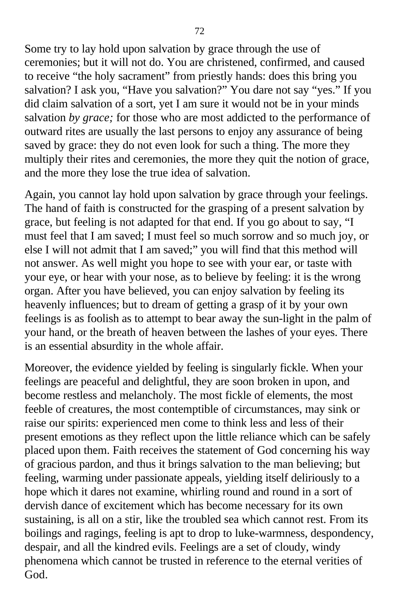Some try to lay hold upon salvation by grace through the use of ceremonies; but it will not do. You are christened, confirmed, and caused to receive "the holy sacrament" from priestly hands: does this bring you salvation? I ask you, "Have you salvation?" You dare not say "yes." If you did claim salvation of a sort, yet I am sure it would not be in your minds salvation *by grace;* for those who are most addicted to the performance of outward rites are usually the last persons to enjoy any assurance of being saved by grace: they do not even look for such a thing. The more they multiply their rites and ceremonies, the more they quit the notion of grace, and the more they lose the true idea of salvation.

Again, you cannot lay hold upon salvation by grace through your feelings. The hand of faith is constructed for the grasping of a present salvation by grace, but feeling is not adapted for that end. If you go about to say, "I must feel that I am saved; I must feel so much sorrow and so much joy, or else I will not admit that I am saved;" you will find that this method will not answer. As well might you hope to see with your ear, or taste with your eye, or hear with your nose, as to believe by feeling: it is the wrong organ. After you have believed, you can enjoy salvation by feeling its heavenly influences; but to dream of getting a grasp of it by your own feelings is as foolish as to attempt to bear away the sun-light in the palm of your hand, or the breath of heaven between the lashes of your eyes. There is an essential absurdity in the whole affair.

Moreover, the evidence yielded by feeling is singularly fickle. When your feelings are peaceful and delightful, they are soon broken in upon, and become restless and melancholy. The most fickle of elements, the most feeble of creatures, the most contemptible of circumstances, may sink or raise our spirits: experienced men come to think less and less of their present emotions as they reflect upon the little reliance which can be safely placed upon them. Faith receives the statement of God concerning his way of gracious pardon, and thus it brings salvation to the man believing; but feeling, warming under passionate appeals, yielding itself deliriously to a hope which it dares not examine, whirling round and round in a sort of dervish dance of excitement which has become necessary for its own sustaining, is all on a stir, like the troubled sea which cannot rest. From its boilings and ragings, feeling is apt to drop to luke-warmness, despondency, despair, and all the kindred evils. Feelings are a set of cloudy, windy phenomena which cannot be trusted in reference to the eternal verities of God.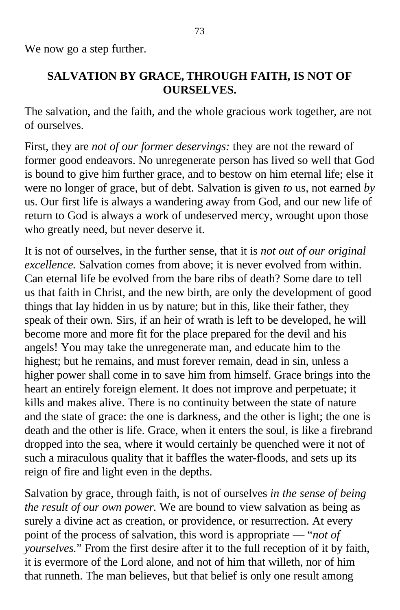We now go a step further.

## **SALVATION BY GRACE, THROUGH FAITH, IS NOT OF OURSELVES.**

The salvation, and the faith, and the whole gracious work together, are not of ourselves.

First, they are *not of our former deservings:* they are not the reward of former good endeavors. No unregenerate person has lived so well that God is bound to give him further grace, and to bestow on him eternal life; else it were no longer of grace, but of debt. Salvation is given *to* us, not earned *by* us. Our first life is always a wandering away from God, and our new life of return to God is always a work of undeserved mercy, wrought upon those who greatly need, but never deserve it.

It is not of ourselves, in the further sense, that it is *not out of our original excellence.* Salvation comes from above; it is never evolved from within. Can eternal life be evolved from the bare ribs of death? Some dare to tell us that faith in Christ, and the new birth, are only the development of good things that lay hidden in us by nature; but in this, like their father, they speak of their own. Sirs, if an heir of wrath is left to be developed, he will become more and more fit for the place prepared for the devil and his angels! You may take the unregenerate man, and educate him to the highest; but he remains, and must forever remain, dead in sin, unless a higher power shall come in to save him from himself. Grace brings into the heart an entirely foreign element. It does not improve and perpetuate; it kills and makes alive. There is no continuity between the state of nature and the state of grace: the one is darkness, and the other is light; the one is death and the other is life. Grace, when it enters the soul, is like a firebrand dropped into the sea, where it would certainly be quenched were it not of such a miraculous quality that it baffles the water-floods, and sets up its reign of fire and light even in the depths.

Salvation by grace, through faith, is not of ourselves *in the sense of being the result of our own power.* We are bound to view salvation as being as surely a divine act as creation, or providence, or resurrection. At every point of the process of salvation, this word is appropriate — "*not of yourselves.*" From the first desire after it to the full reception of it by faith, it is evermore of the Lord alone, and not of him that willeth, nor of him that runneth. The man believes, but that belief is only one result among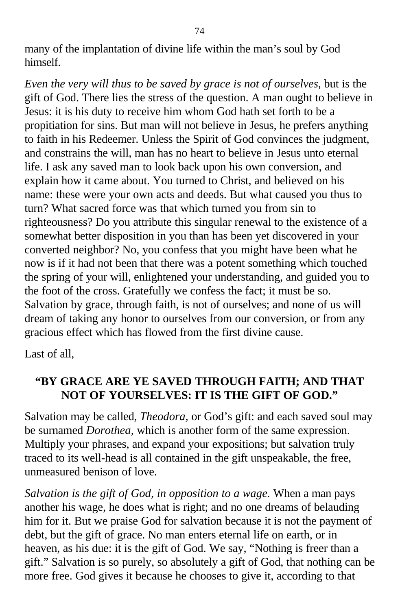many of the implantation of divine life within the man's soul by God himself.

*Even the very will thus to be saved by grace is not of ourselves,* but is the gift of God. There lies the stress of the question. A man ought to believe in Jesus: it is his duty to receive him whom God hath set forth to be a propitiation for sins. But man will not believe in Jesus, he prefers anything to faith in his Redeemer. Unless the Spirit of God convinces the judgment, and constrains the will, man has no heart to believe in Jesus unto eternal life. I ask any saved man to look back upon his own conversion, and explain how it came about. You turned to Christ, and believed on his name: these were your own acts and deeds. But what caused you thus to turn? What sacred force was that which turned you from sin to righteousness? Do you attribute this singular renewal to the existence of a somewhat better disposition in you than has been yet discovered in your converted neighbor? No, you confess that you might have been what he now is if it had not been that there was a potent something which touched the spring of your will, enlightened your understanding, and guided you to the foot of the cross. Gratefully we confess the fact; it must be so. Salvation by grace, through faith, is not of ourselves; and none of us will dream of taking any honor to ourselves from our conversion, or from any gracious effect which has flowed from the first divine cause.

Last of all,

## **"BY GRACE ARE YE SAVED THROUGH FAITH; AND THAT NOT OF YOURSELVES: IT IS THE GIFT OF GOD."**

Salvation may be called, *Theodora,* or God's gift: and each saved soul may be surnamed *Dorothea,* which is another form of the same expression. Multiply your phrases, and expand your expositions; but salvation truly traced to its well-head is all contained in the gift unspeakable, the free, unmeasured benison of love.

*Salvation is the gift of God, in opposition to a wage.* When a man pays another his wage, he does what is right; and no one dreams of belauding him for it. But we praise God for salvation because it is not the payment of debt, but the gift of grace. No man enters eternal life on earth, or in heaven, as his due: it is the gift of God. We say, "Nothing is freer than a gift." Salvation is so purely, so absolutely a gift of God, that nothing can be more free. God gives it because he chooses to give it, according to that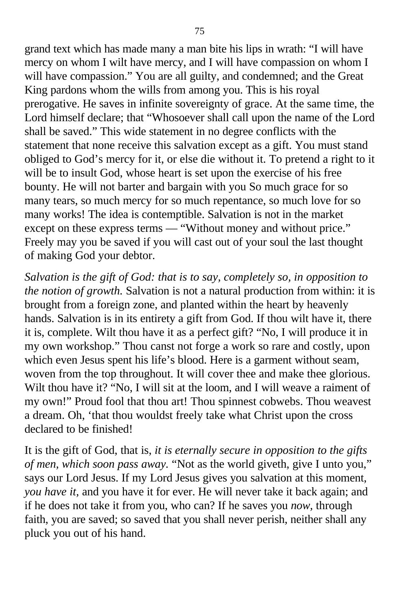grand text which has made many a man bite his lips in wrath: "I will have mercy on whom I wilt have mercy, and I will have compassion on whom I will have compassion." You are all guilty, and condemned; and the Great King pardons whom the wills from among you. This is his royal prerogative. He saves in infinite sovereignty of grace. At the same time, the Lord himself declare; that "Whosoever shall call upon the name of the Lord shall be saved." This wide statement in no degree conflicts with the statement that none receive this salvation except as a gift. You must stand obliged to God's mercy for it, or else die without it. To pretend a right to it will be to insult God, whose heart is set upon the exercise of his free bounty. He will not barter and bargain with you So much grace for so many tears, so much mercy for so much repentance, so much love for so many works! The idea is contemptible. Salvation is not in the market except on these express terms — "Without money and without price." Freely may you be saved if you will cast out of your soul the last thought of making God your debtor.

*Salvation is the gift of God: that is to say, completely so, in opposition to the notion of growth.* Salvation is not a natural production from within: it is brought from a foreign zone, and planted within the heart by heavenly hands. Salvation is in its entirety a gift from God. If thou wilt have it, there it is, complete. Wilt thou have it as a perfect gift? "No, I will produce it in my own workshop." Thou canst not forge a work so rare and costly, upon which even Jesus spent his life's blood. Here is a garment without seam, woven from the top throughout. It will cover thee and make thee glorious. Wilt thou have it? "No, I will sit at the loom, and I will weave a raiment of my own!" Proud fool that thou art! Thou spinnest cobwebs. Thou weavest a dream. Oh, 'that thou wouldst freely take what Christ upon the cross declared to be finished!

It is the gift of God, that is, *it is eternally secure in opposition to the gifts of men, which soon pass away.* "Not as the world giveth, give I unto you," says our Lord Jesus. If my Lord Jesus gives you salvation at this moment, *you have it,* and you have it for ever. He will never take it back again; and if he does not take it from you, who can? If he saves you *now,* through faith, you are saved; so saved that you shall never perish, neither shall any pluck you out of his hand.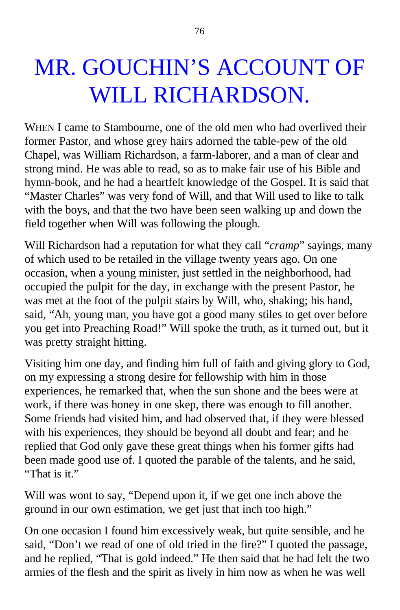## MR. GOUCHIN'S ACCOUNT OF WILL RICHARDSON.

WHEN I came to Stambourne, one of the old men who had overlived their former Pastor, and whose grey hairs adorned the table-pew of the old Chapel, was William Richardson, a farm-laborer, and a man of clear and strong mind. He was able to read, so as to make fair use of his Bible and hymn-book, and he had a heartfelt knowledge of the Gospel. It is said that "Master Charles" was very fond of Will, and that Will used to like to talk with the boys, and that the two have been seen walking up and down the field together when Will was following the plough.

Will Richardson had a reputation for what they call "*cramp*" sayings, many of which used to be retailed in the village twenty years ago. On one occasion, when a young minister, just settled in the neighborhood, had occupied the pulpit for the day, in exchange with the present Pastor, he was met at the foot of the pulpit stairs by Will, who, shaking; his hand, said, "Ah, young man, you have got a good many stiles to get over before you get into Preaching Road!" Will spoke the truth, as it turned out, but it was pretty straight hitting.

Visiting him one day, and finding him full of faith and giving glory to God, on my expressing a strong desire for fellowship with him in those experiences, he remarked that, when the sun shone and the bees were at work, if there was honey in one skep, there was enough to fill another. Some friends had visited him, and had observed that, if they were blessed with his experiences, they should be beyond all doubt and fear; and he replied that God only gave these great things when his former gifts had been made good use of. I quoted the parable of the talents, and he said, "That is it."

Will was wont to say, "Depend upon it, if we get one inch above the ground in our own estimation, we get just that inch too high."

On one occasion I found him excessively weak, but quite sensible, and he said, "Don't we read of one of old tried in the fire?" I quoted the passage, and he replied, "That is gold indeed." He then said that he had felt the two armies of the flesh and the spirit as lively in him now as when he was well